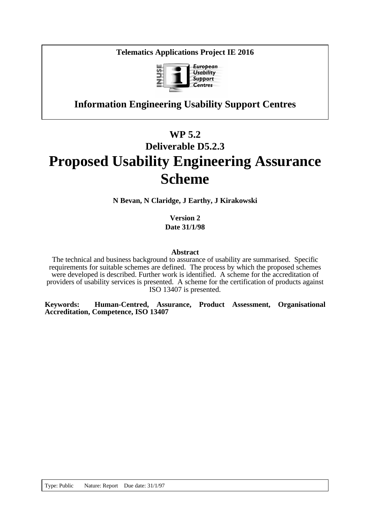**Telematics Applications Project IE 2016**



# **Information Engineering Usability Support Centres**

# **WP 5.2 Deliverable D5.2.3 Proposed Usability Engineering Assurance Scheme**

**N Bevan, N Claridge, J Earthy, J Kirakowski**

**Version 2 Date 31/1/98**

### **Abstract**

The technical and business background to assurance of usability are summarised. Specific requirements for suitable schemes are defined. The process by which the proposed schemes were developed is described. Further work is identified. A scheme for the accreditation of providers of usability services is presented. A scheme for the certification of products against ISO 13407 is presented.

**Keywords: Human-Centred, Assurance, Product Assessment, Organisational Accreditation, Competence, ISO 13407**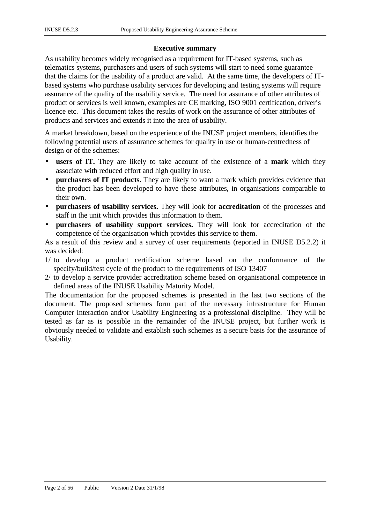### **Executive summary**

As usability becomes widely recognised as a requirement for IT-based systems, such as telematics systems, purchasers and users of such systems will start to need some guarantee that the claims for the usability of a product are valid. At the same time, the developers of ITbased systems who purchase usability services for developing and testing systems will require assurance of the quality of the usability service. The need for assurance of other attributes of product or services is well known, examples are CE marking, ISO 9001 certification, driver's licence etc. This document takes the results of work on the assurance of other attributes of products and services and extends it into the area of usability.

A market breakdown, based on the experience of the INUSE project members, identifies the following potential users of assurance schemes for quality in use or human-centredness of design or of the schemes:

- **users of IT.** They are likely to take account of the existence of a **mark** which they associate with reduced effort and high quality in use.
- **purchasers of IT products.** They are likely to want a mark which provides evidence that the product has been developed to have these attributes, in organisations comparable to their own.
- **purchasers of usability services.** They will look for **accreditation** of the processes and staff in the unit which provides this information to them.
- **purchasers of usability support services.** They will look for accreditation of the competence of the organisation which provides this service to them.

As a result of this review and a survey of user requirements (reported in INUSE D5.2.2) it was decided:

- 1/ to develop a product certification scheme based on the conformance of the specify/build/test cycle of the product to the requirements of ISO 13407
- 2/ to develop a service provider accreditation scheme based on organisational competence in defined areas of the INUSE Usability Maturity Model.

The documentation for the proposed schemes is presented in the last two sections of the document. The proposed schemes form part of the necessary infrastructure for Human Computer Interaction and/or Usability Engineering as a professional discipline. They will be tested as far as is possible in the remainder of the INUSE project, but further work is obviously needed to validate and establish such schemes as a secure basis for the assurance of Usability.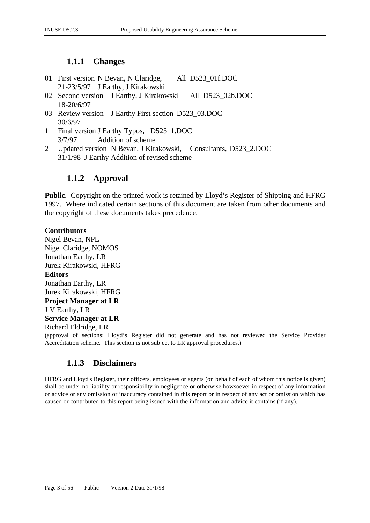# **1.1.1 Changes**

- 01 First version N Bevan, N Claridge, All D523\_01f.DOC 21-23/5/97 J Earthy, J Kirakowski
- 02 Second version J Earthy, J Kirakowski All D523\_02b.DOC 18-20/6/97
- 03 Review version J Earthy First section D523\_03.DOC 30/6/97
- 1 Final version J Earthy Typos, D523\_1.DOC 3/7/97 Addition of scheme
- 2 Updated version N Bevan, J Kirakowski, Consultants, D523\_2.DOC 31/1/98 J Earthy Addition of revised scheme

# **1.1.2 Approval**

**Public**. Copyright on the printed work is retained by Lloyd's Register of Shipping and HFRG 1997. Where indicated certain sections of this document are taken from other documents and the copyright of these documents takes precedence.

### **Contributors**

Nigel Bevan, NPL Nigel Claridge, NOMOS Jonathan Earthy, LR Jurek Kirakowski, HFRG **Editors** Jonathan Earthy, LR Jurek Kirakowski, HFRG **Project Manager at LR** J V Earthy, LR **Service Manager at LR** Richard Eldridge, LR (approval of sections: Lloyd's Register did not generate and has not reviewed the Service Provider Accreditation scheme. This section is not subject to LR approval procedures.)

# **1.1.3 Disclaimers**

HFRG and Lloyd's Register, their officers, employees or agents (on behalf of each of whom this notice is given) shall be under no liability or responsibility in negligence or otherwise howsoever in respect of any information or advice or any omission or inaccuracy contained in this report or in respect of any act or omission which has caused or contributed to this report being issued with the information and advice it contains (if any).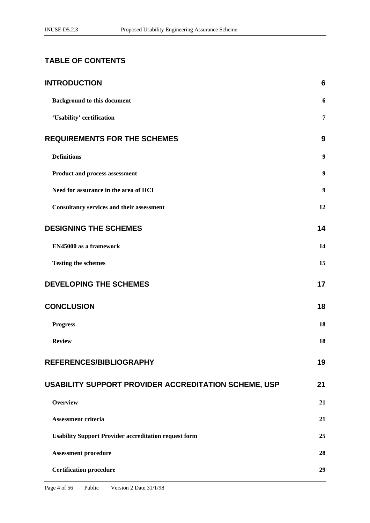# **TABLE OF CONTENTS**

| <b>INTRODUCTION</b>                                          | $6\phantom{1}6$  |
|--------------------------------------------------------------|------------------|
| <b>Background to this document</b>                           | 6                |
| 'Usability' certification                                    | 7                |
| <b>REQUIREMENTS FOR THE SCHEMES</b>                          | 9                |
| <b>Definitions</b>                                           | $\boldsymbol{9}$ |
| Product and process assessment                               | $\boldsymbol{9}$ |
| Need for assurance in the area of HCI                        | $\boldsymbol{9}$ |
| <b>Consultancy services and their assessment</b>             | 12               |
| <b>DESIGNING THE SCHEMES</b>                                 | 14               |
| EN45000 as a framework                                       | 14               |
| <b>Testing the schemes</b>                                   | 15               |
| <b>DEVELOPING THE SCHEMES</b>                                | 17               |
| <b>CONCLUSION</b>                                            | 18               |
| <b>Progress</b>                                              | 18               |
| <b>Review</b>                                                | 18               |
| REFERENCES/BIBLIOGRAPHY                                      | 19               |
| USABILITY SUPPORT PROVIDER ACCREDITATION SCHEME, USP         | 21               |
| <b>Overview</b>                                              | 21               |
| Assessment criteria                                          | 21               |
| <b>Usability Support Provider accreditation request form</b> | 25               |
| <b>Assessment procedure</b>                                  | 28               |
| <b>Certification procedure</b>                               | 29               |
|                                                              |                  |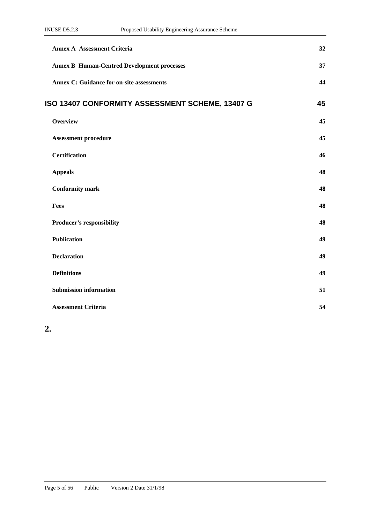| <b>Annex A Assessment Criteria</b>                 | 32 |
|----------------------------------------------------|----|
| <b>Annex B Human-Centred Development processes</b> | 37 |
| <b>Annex C: Guidance for on-site assessments</b>   | 44 |
| ISO 13407 CONFORMITY ASSESSMENT SCHEME, 13407 G    | 45 |
| <b>Overview</b>                                    | 45 |
| <b>Assessment procedure</b>                        | 45 |
| <b>Certification</b>                               | 46 |
| <b>Appeals</b>                                     | 48 |
| <b>Conformity mark</b>                             | 48 |
| Fees                                               | 48 |
| Producer's responsibility                          | 48 |
| <b>Publication</b>                                 | 49 |
| <b>Declaration</b>                                 | 49 |
| <b>Definitions</b>                                 | 49 |
| <b>Submission information</b>                      | 51 |
| <b>Assessment Criteria</b>                         | 54 |

**2.**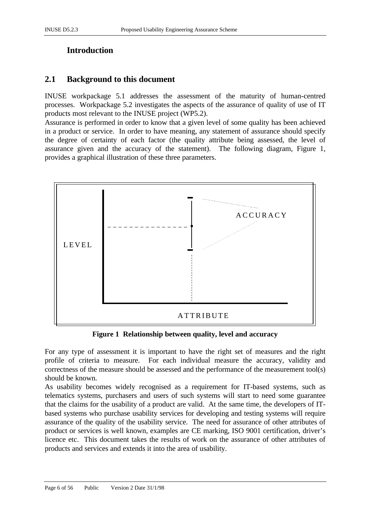# **Introduction**

# **2.1 Background to this document**

INUSE workpackage 5.1 addresses the assessment of the maturity of human-centred processes. Workpackage 5.2 investigates the aspects of the assurance of quality of use of IT products most relevant to the INUSE project (WP5.2).

Assurance is performed in order to know that a given level of some quality has been achieved in a product or service. In order to have meaning, any statement of assurance should specify the degree of certainty of each factor (the quality attribute being assessed, the level of assurance given and the accuracy of the statement). The following diagram, Figure 1, provides a graphical illustration of these three parameters.



**Figure 1 Relationship between quality, level and accuracy**

For any type of assessment it is important to have the right set of measures and the right profile of criteria to measure. For each individual measure the accuracy, validity and correctness of the measure should be assessed and the performance of the measurement tool(s) should be known.

As usability becomes widely recognised as a requirement for IT-based systems, such as telematics systems, purchasers and users of such systems will start to need some guarantee that the claims for the usability of a product are valid. At the same time, the developers of ITbased systems who purchase usability services for developing and testing systems will require assurance of the quality of the usability service. The need for assurance of other attributes of product or services is well known, examples are CE marking, ISO 9001 certification, driver's licence etc. This document takes the results of work on the assurance of other attributes of products and services and extends it into the area of usability.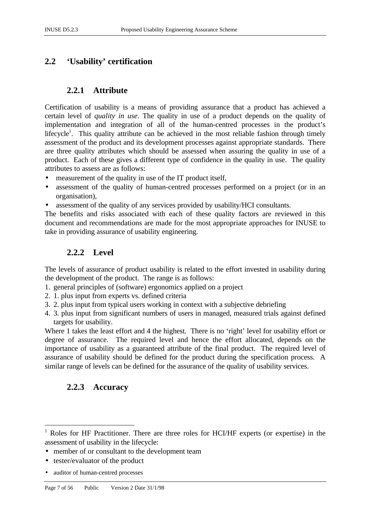# **2.2 'Usability' certification**

# **2.2.1 Attribute**

Certification of usability is a means of providing assurance that a product has achieved a certain level of *quality in use*. The quality in use of a product depends on the quality of implementation and integration of all of the human-centred processes in the product's lifecycle<sup>1</sup>. This quality attribute can be achieved in the most reliable fashion through timely assessment of the product and its development processes against appropriate standards. There are three quality attributes which should be assessed when assuring the quality in use of a product. Each of these gives a different type of confidence in the quality in use. The quality attributes to assess are as follows:

- measurement of the quality in use of the IT product itself,
- assessment of the quality of human-centred processes performed on a project (or in an organisation),
- assessment of the quality of any services provided by usability/HCI consultants.

The benefits and risks associated with each of these quality factors are reviewed in this document and recommendations are made for the most appropriate approaches for INUSE to take in providing assurance of usability engineering.

# **2.2.2 Level**

The levels of assurance of product usability is related to the effort invested in usability during the development of the product. The range is as follows:

- 1. general principles of (software) ergonomics applied on a project
- 2. 1. plus input from experts vs. defined criteria
- 3. 2. plus input from typical users working in context with a subjective debriefing
- 4. 3. plus input from significant numbers of users in managed, measured trials against defined targets for usability.

Where 1 takes the least effort and 4 the highest. There is no 'right' level for usability effort or degree of assurance. The required level and hence the effort allocated, depends on the importance of usability as a guaranteed attribute of the final product. The required level of assurance of usability should be defined for the product during the specification process. A similar range of levels can be defined for the assurance of the quality of usability services.

# **2.2.3 Accuracy**

 $\overline{a}$ 

<sup>1</sup> Roles for HF Practitioner. There are three roles for HCI/HF experts (or expertise) in the assessment of usability in the lifecycle:

<sup>•</sup> member of or consultant to the development team

<sup>•</sup> tester/evaluator of the product

<sup>•</sup> auditor of human-centred processes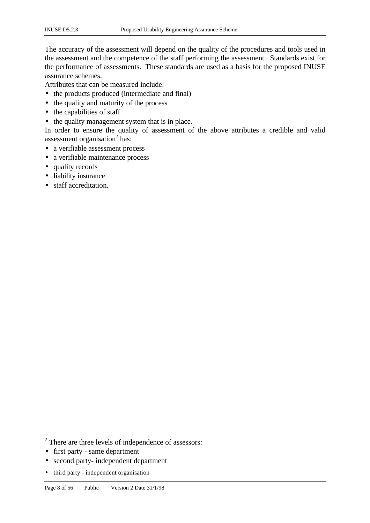The accuracy of the assessment will depend on the quality of the procedures and tools used in the assessment and the competence of the staff performing the assessment. Standards exist for the performance of assessments. These standards are used as a basis for the proposed INUSE assurance schemes.

Attributes that can be measured include:

- the products produced (intermediate and final)
- the quality and maturity of the process
- the capabilities of staff
- the quality management system that is in place.

In order to ensure the quality of assessment of the above attributes a credible and valid assessment organisation<sup>2</sup> has:

- a verifiable assessment process
- a verifiable maintenance process
- quality records
- liability insurance
- staff accreditation.

• first party - same department

 $\overline{a}$ 

- second party- independent department
- third party independent organisation

 $2$  There are three levels of independence of assessors: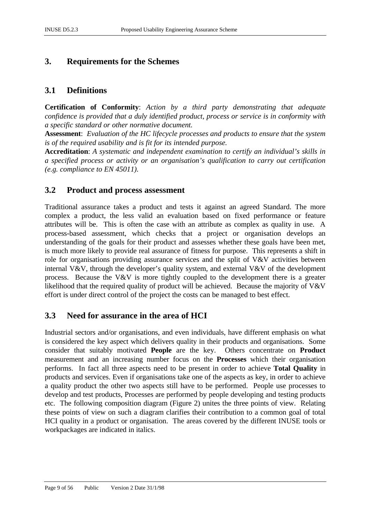# **3. Requirements for the Schemes**

# **3.1 Definitions**

**Certification of Conformity**: *Action by a third party demonstrating that adequate confidence is provided that a duly identified product, process or service is in conformity with a specific standard or other normative document.*

**Assessment**: *Evaluation of the HC lifecycle processes and products to ensure that the system is of the required usability and is fit for its intended purpose.*

**Accreditation**: *A systematic and independent examination to certify an individual's skills in a specified process or activity or an organisation's qualification to carry out certification (e.g. compliance to EN 45011).*

# **3.2 Product and process assessment**

Traditional assurance takes a product and tests it against an agreed Standard. The more complex a product, the less valid an evaluation based on fixed performance or feature attributes will be. This is often the case with an attribute as complex as quality in use. A process-based assessment, which checks that a project or organisation develops an understanding of the goals for their product and assesses whether these goals have been met, is much more likely to provide real assurance of fitness for purpose. This represents a shift in role for organisations providing assurance services and the split of V&V activities between internal V&V, through the developer's quality system, and external V&V of the development process. Because the V&V is more tightly coupled to the development there is a greater likelihood that the required quality of product will be achieved. Because the majority of V&V effort is under direct control of the project the costs can be managed to best effect.

# **3.3 Need for assurance in the area of HCI**

Industrial sectors and/or organisations, and even individuals, have different emphasis on what is considered the key aspect which delivers quality in their products and organisations. Some consider that suitably motivated **People** are the key. Others concentrate on **Product** measurement and an increasing number focus on the **Processes** which their organisation performs. In fact all three aspects need to be present in order to achieve **Total Quality** in products and services. Even if organisations take one of the aspects as key, in order to achieve a quality product the other two aspects still have to be performed. People use processes to develop and test products, Processes are performed by people developing and testing products etc. The following composition diagram (Figure 2) unites the three points of view. Relating these points of view on such a diagram clarifies their contribution to a common goal of total HCI quality in a product or organisation. The areas covered by the different INUSE tools or workpackages are indicated in italics.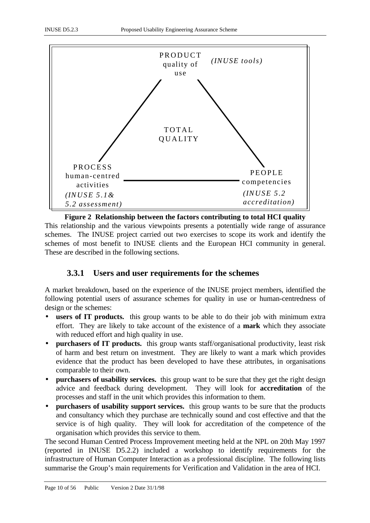

**Figure 2 Relationship between the factors contributing to total HCI quality** This relationship and the various viewpoints presents a potentially wide range of assurance schemes. The INUSE project carried out two exercises to scope its work and identify the schemes of most benefit to INUSE clients and the European HCI community in general. These are described in the following sections.

# **3.3.1 Users and user requirements for the schemes**

A market breakdown, based on the experience of the INUSE project members, identified the following potential users of assurance schemes for quality in use or human-centredness of design or the schemes:

- **users of IT products.** this group wants to be able to do their job with minimum extra effort. They are likely to take account of the existence of a **mark** which they associate with reduced effort and high quality in use.
- **purchasers of IT products.** this group wants staff/organisational productivity, least risk of harm and best return on investment. They are likely to want a mark which provides evidence that the product has been developed to have these attributes, in organisations comparable to their own.
- **purchasers of usability services.** this group want to be sure that they get the right design advice and feedback during development. They will look for **accreditation** of the processes and staff in the unit which provides this information to them.
- **purchasers of usability support services.** this group wants to be sure that the products and consultancy which they purchase are technically sound and cost effective and that the service is of high quality. They will look for accreditation of the competence of the organisation which provides this service to them.

The second Human Centred Process Improvement meeting held at the NPL on 20th May 1997 (reported in INUSE D5.2.2) included a workshop to identify requirements for the infrastructure of Human Computer Interaction as a professional discipline. The following lists summarise the Group's main requirements for Verification and Validation in the area of HCI.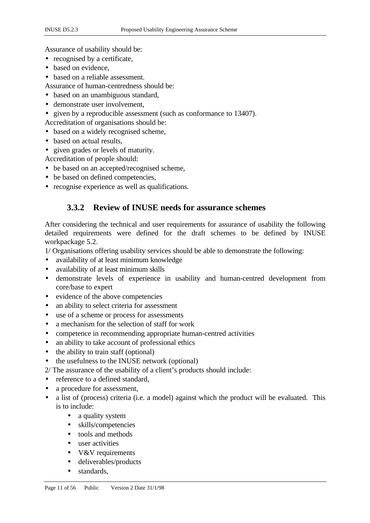Assurance of usability should be:

- recognised by a certificate,
- based on evidence.
- based on a reliable assessment.
- Assurance of human-centredness should be:
- based on an unambiguous standard,
- demonstrate user involvement.
- given by a reproducible assessment (such as conformance to 13407).

Accreditation of organisations should be:

- based on a widely recognised scheme,
- based on actual results.
- given grades or levels of maturity.

Accreditation of people should:

- be based on an accepted/recognised scheme,
- be based on defined competencies,
- recognise experience as well as qualifications.

# **3.3.2 Review of INUSE needs for assurance schemes**

After considering the technical and user requirements for assurance of usability the following detailed requirements were defined for the draft schemes to be defined by INUSE workpackage 5.2.

1/ Organisations offering usability services should be able to demonstrate the following:

- availability of at least minimum knowledge
- availability of at least minimum skills
- demonstrate levels of experience in usability and human-centred development from core/base to expert
- evidence of the above competencies
- an ability to select criteria for assessment
- use of a scheme or process for assessments
- a mechanism for the selection of staff for work
- competence in recommending appropriate human-centred activities
- an ability to take account of professional ethics
- the ability to train staff (optional)
- the usefulness to the INUSE network (optional)
- 2/ The assurance of the usability of a client's products should include:
- reference to a defined standard,
- a procedure for assessment,
- a list of (process) criteria (i.e. a model) against which the product will be evaluated. This is to include:
	- a quality system
	- skills/competencies
	- tools and methods
	- user activities
	- V&V requirements
	- deliverables/products
	- standards,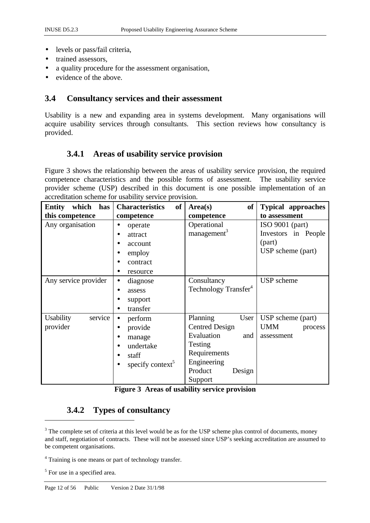- levels or pass/fail criteria,
- trained assessors.
- a quality procedure for the assessment organisation,
- evidence of the above.

# **3.4 Consultancy services and their assessment**

Usability is a new and expanding area in systems development. Many organisations will acquire usability services through consultants. This section reviews how consultancy is provided.

# **3.4.1 Areas of usability service provision**

Figure 3 shows the relationship between the areas of usability service provision, the required competence characteristics and the possible forms of assessment. The usability service provider scheme (USP) described in this document is one possible implementation of an accreditation scheme for usability service provision.

| which<br><b>Entity</b><br>has | of<br><b>Characteristics</b> | Area(s)<br><b>of</b>             | <b>Typical approaches</b> |
|-------------------------------|------------------------------|----------------------------------|---------------------------|
| this competence               | competence                   | competence                       | to assessment             |
| Any organisation              | operate                      | Operational                      | ISO $9001$ (part)         |
|                               | attract                      | management <sup>3</sup>          | Investors in People       |
|                               | account                      |                                  | (part)                    |
|                               | employ                       |                                  | USP scheme (part)         |
|                               | contract                     |                                  |                           |
|                               | resource                     |                                  |                           |
| Any service provider          | diagnose                     | Consultancy                      | USP scheme                |
|                               | assess<br>$\bullet$          | Technology Transfer <sup>4</sup> |                           |
|                               | support                      |                                  |                           |
|                               | transfer                     |                                  |                           |
| service<br><b>Usability</b>   | perform<br>$\bullet$         | Planning<br>User                 | USP scheme (part)         |
| provider                      | provide<br>٠                 | <b>Centred Design</b>            | <b>UMM</b><br>process     |
|                               | manage<br>$\bullet$          | Evaluation<br>and                | assessment                |
|                               | undertake                    | Testing                          |                           |
|                               | staff                        | Requirements                     |                           |
|                               | specify context <sup>5</sup> | Engineering                      |                           |
|                               |                              | Product<br>Design                |                           |
|                               |                              | Support                          |                           |

|  |  | Figure 3 Areas of usability service provision |
|--|--|-----------------------------------------------|
|  |  |                                               |

# **3.4.2 Types of consultancy**

 $\overline{a}$ 

 $3$  The complete set of criteria at this level would be as for the USP scheme plus control of documents, money and staff, negotiation of contracts. These will not be assessed since USP's seeking accreditation are assumed to be competent organisations.

<sup>&</sup>lt;sup>4</sup> Training is one means or part of technology transfer.

<sup>&</sup>lt;sup>5</sup> For use in a specified area.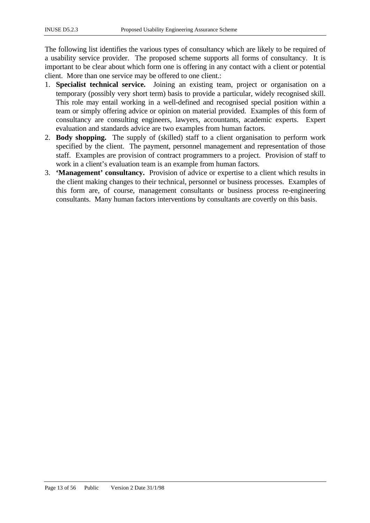The following list identifies the various types of consultancy which are likely to be required of a usability service provider. The proposed scheme supports all forms of consultancy. It is important to be clear about which form one is offering in any contact with a client or potential client. More than one service may be offered to one client.:

- 1. **Specialist technical service.** Joining an existing team, project or organisation on a temporary (possibly very short term) basis to provide a particular, widely recognised skill. This role may entail working in a well-defined and recognised special position within a team or simply offering advice or opinion on material provided. Examples of this form of consultancy are consulting engineers, lawyers, accountants, academic experts. Expert evaluation and standards advice are two examples from human factors.
- 2. **Body shopping.** The supply of (skilled) staff to a client organisation to perform work specified by the client. The payment, personnel management and representation of those staff. Examples are provision of contract programmers to a project. Provision of staff to work in a client's evaluation team is an example from human factors.
- 3. **'Management' consultancy.** Provision of advice or expertise to a client which results in the client making changes to their technical, personnel or business processes. Examples of this form are, of course, management consultants or business process re-engineering consultants. Many human factors interventions by consultants are covertly on this basis.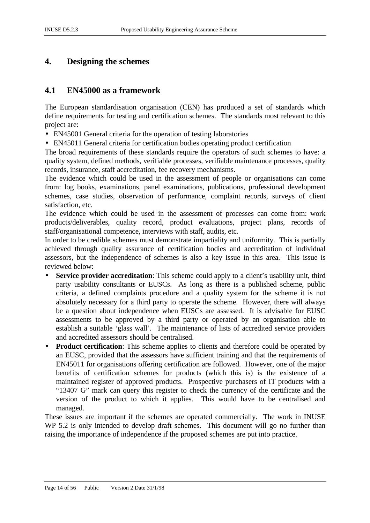# **4. Designing the schemes**

# **4.1 EN45000 as a framework**

The European standardisation organisation (CEN) has produced a set of standards which define requirements for testing and certification schemes. The standards most relevant to this project are:

- EN45001 General criteria for the operation of testing laboratories
- EN45011 General criteria for certification bodies operating product certification

The broad requirements of these standards require the operators of such schemes to have: a quality system, defined methods, verifiable processes, verifiable maintenance processes, quality records, insurance, staff accreditation, fee recovery mechanisms.

The evidence which could be used in the assessment of people or organisations can come from: log books, examinations, panel examinations, publications, professional development schemes, case studies, observation of performance, complaint records, surveys of client satisfaction, etc.

The evidence which could be used in the assessment of processes can come from: work products/deliverables, quality record, product evaluations, project plans, records of staff/organisational competence, interviews with staff, audits, etc.

In order to be credible schemes must demonstrate impartiality and uniformity. This is partially achieved through quality assurance of certification bodies and accreditation of individual assessors, but the independence of schemes is also a key issue in this area. This issue is reviewed below:

- **Service provider accreditation**: This scheme could apply to a client's usability unit, third party usability consultants or EUSCs. As long as there is a published scheme, public criteria, a defined complaints procedure and a quality system for the scheme it is not absolutely necessary for a third party to operate the scheme. However, there will always be a question about independence when EUSCs are assessed. It is advisable for EUSC assessments to be approved by a third party or operated by an organisation able to establish a suitable 'glass wall'. The maintenance of lists of accredited service providers and accredited assessors should be centralised.
- **Product certification**: This scheme applies to clients and therefore could be operated by an EUSC, provided that the assessors have sufficient training and that the requirements of EN45011 for organisations offering certification are followed. However, one of the major benefits of certification schemes for products (which this is) is the existence of a maintained register of approved products. Prospective purchasers of IT products with a "13407 G" mark can query this register to check the currency of the certificate and the version of the product to which it applies. This would have to be centralised and managed.

These issues are important if the schemes are operated commercially. The work in INUSE WP 5.2 is only intended to develop draft schemes. This document will go no further than raising the importance of independence if the proposed schemes are put into practice.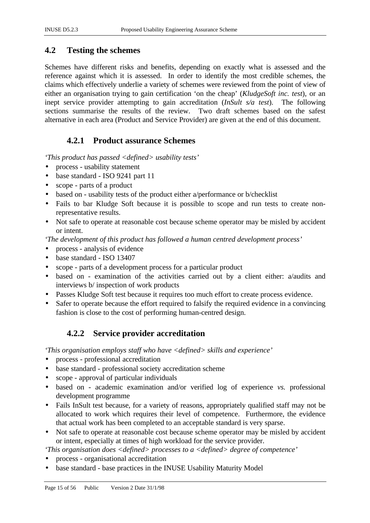# **4.2 Testing the schemes**

Schemes have different risks and benefits, depending on exactly what is assessed and the reference against which it is assessed. In order to identify the most credible schemes, the claims which effectively underlie a variety of schemes were reviewed from the point of view of either an organisation trying to gain certification 'on the cheap' (*KludgeSoft inc. test*), or an inept service provider attempting to gain accreditation (*InSult s/a test*). The following sections summarise the results of the review. Two draft schemes based on the safest alternative in each area (Product and Service Provider) are given at the end of this document.

# **4.2.1 Product assurance Schemes**

*'This product has passed <defined> usability tests'*

- process usability statement
- base standard ISO 9241 part 11
- scope parts of a product
- based on usability tests of the product either a/performance or b/checklist
- Fails to bar Kludge Soft because it is possible to scope and run tests to create nonrepresentative results.
- Not safe to operate at reasonable cost because scheme operator may be misled by accident or intent.

*'The development of this product has followed a human centred development process'*

- process analysis of evidence
- base standard ISO 13407
- scope parts of a development process for a particular product
- based on examination of the activities carried out by a client either: a/audits and interviews b/ inspection of work products
- Passes Kludge Soft test because it requires too much effort to create process evidence.
- Safer to operate because the effort required to falsify the required evidence in a convincing fashion is close to the cost of performing human-centred design.

# **4.2.2 Service provider accreditation**

*'This organisation employs staff who have <defined> skills and experience'*

- process professional accreditation
- base standard professional society accreditation scheme
- scope approval of particular individuals
- based on academic examination and/or verified log of experience *vs.* professional development programme
- Fails InSult test because, for a variety of reasons, appropriately qualified staff may not be allocated to work which requires their level of competence. Furthermore, the evidence that actual work has been completed to an acceptable standard is very sparse.
- Not safe to operate at reasonable cost because scheme operator may be misled by accident or intent, especially at times of high workload for the service provider.

*'This organisation does <defined> processes to a <defined> degree of competence'*

- process organisational accreditation
- base standard base practices in the INUSE Usability Maturity Model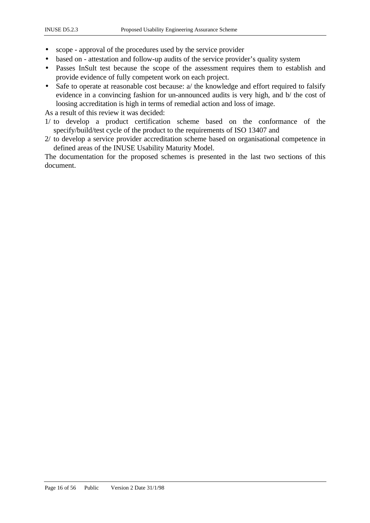- scope approval of the procedures used by the service provider
- based on attestation and follow-up audits of the service provider's quality system
- Passes InSult test because the scope of the assessment requires them to establish and provide evidence of fully competent work on each project.
- Safe to operate at reasonable cost because: a/ the knowledge and effort required to falsify evidence in a convincing fashion for un-announced audits is very high, and b/ the cost of loosing accreditation is high in terms of remedial action and loss of image.

As a result of this review it was decided:

- 1/ to develop a product certification scheme based on the conformance of the specify/build/test cycle of the product to the requirements of ISO 13407 and
- 2/ to develop a service provider accreditation scheme based on organisational competence in defined areas of the INUSE Usability Maturity Model.

The documentation for the proposed schemes is presented in the last two sections of this document.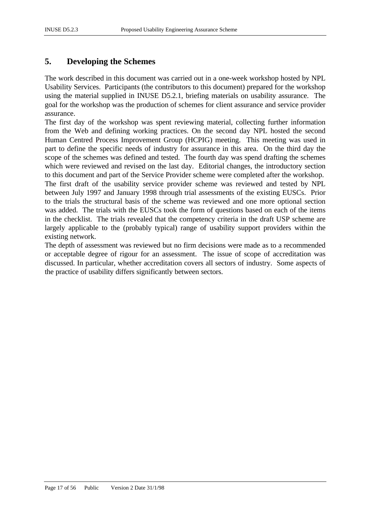# **5. Developing the Schemes**

The work described in this document was carried out in a one-week workshop hosted by NPL Usability Services. Participants (the contributors to this document) prepared for the workshop using the material supplied in INUSE D5.2.1, briefing materials on usability assurance. The goal for the workshop was the production of schemes for client assurance and service provider assurance.

The first day of the workshop was spent reviewing material, collecting further information from the Web and defining working practices. On the second day NPL hosted the second Human Centred Process Improvement Group (HCPIG) meeting. This meeting was used in part to define the specific needs of industry for assurance in this area. On the third day the scope of the schemes was defined and tested. The fourth day was spend drafting the schemes which were reviewed and revised on the last day. Editorial changes, the introductory section to this document and part of the Service Provider scheme were completed after the workshop.

The first draft of the usability service provider scheme was reviewed and tested by NPL between July 1997 and January 1998 through trial assessments of the existing EUSCs. Prior to the trials the structural basis of the scheme was reviewed and one more optional section was added. The trials with the EUSCs took the form of questions based on each of the items in the checklist. The trials revealed that the competency criteria in the draft USP scheme are largely applicable to the (probably typical) range of usability support providers within the existing network.

The depth of assessment was reviewed but no firm decisions were made as to a recommended or acceptable degree of rigour for an assessment. The issue of scope of accreditation was discussed. In particular, whether accreditation covers all sectors of industry. Some aspects of the practice of usability differs significantly between sectors.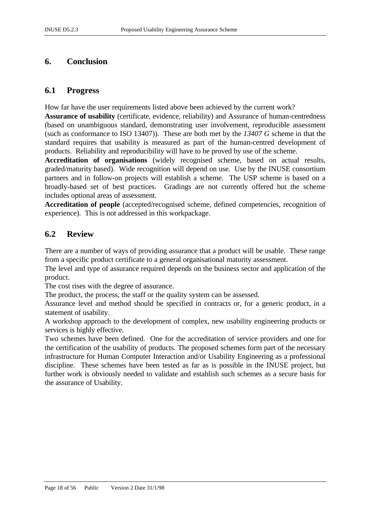# **6. Conclusion**

# **6.1 Progress**

How far have the user requirements listed above been achieved by the current work?

**Assurance of usability** (certificate, evidence, reliability) and Assurance of human-centredness (based on unambiguous standard, demonstrating user involvement, reproducible assessment (such as conformance to ISO 13407)). These are both met by the *13407 G* scheme in that the standard requires that usability is measured as part of the human-centred development of products. Reliability and reproducibility will have to be proved by use of the scheme.

**Accreditation of organisations** (widely recognised scheme, based on actual results, graded/maturity based). Wide recognition will depend on use. Use by the INUSE consortium partners and in follow-on projects will establish a scheme. The USP scheme is based on a broadly-based set of best practices. Gradings are not currently offered but the scheme includes optional areas of assessment.

**Accreditation of people** (accepted/recognised scheme, defined competencies, recognition of experience). This is not addressed in this workpackage.

# **6.2 Review**

There are a number of ways of providing assurance that a product will be usable. These range from a specific product certificate to a general organisational maturity assessment.

The level and type of assurance required depends on the business sector and application of the product.

The cost rises with the degree of assurance.

The product, the process, the staff or the quality system can be assessed.

Assurance level and method should be specified in contracts or, for a generic product, in a statement of usability.

A workshop approach to the development of complex, new usability engineering products or services is highly effective.

Two schemes have been defined. One for the accreditation of service providers and one for the certification of the usability of products. The proposed schemes form part of the necessary infrastructure for Human Computer Interaction and/or Usability Engineering as a professional discipline. These schemes have been tested as far as is possible in the INUSE project, but further work is obviously needed to validate and establish such schemes as a secure basis for the assurance of Usability.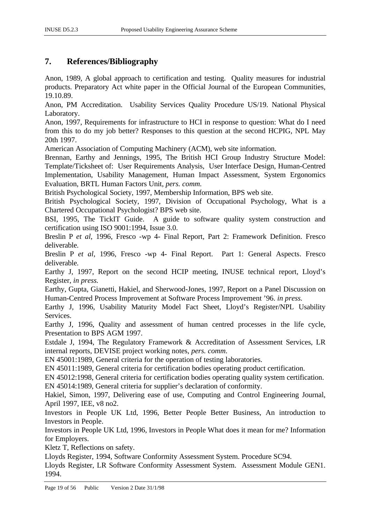# **7. References/Bibliography**

Anon, 1989, A global approach to certification and testing. Quality measures for industrial products. Preparatory Act white paper in the Official Journal of the European Communities, 19.10.89.

Anon, PM Accreditation. Usability Services Quality Procedure US/19. National Physical Laboratory.

Anon, 1997, Requirements for infrastructure to HCI in response to question: What do I need from this to do my job better? Responses to this question at the second HCPIG, NPL May 20th 1997.

American Association of Computing Machinery (ACM), web site information.

Brennan, Earthy and Jennings, 1995, The British HCI Group Industry Structure Model: Template/Ticksheet of: User Requirements Analysis, User Interface Design, Human-Centred Implementation, Usability Management, Human Impact Assessment, System Ergonomics Evaluation, BRTL Human Factors Unit, *pers. comm.*

British Psychological Society, 1997, Membership Information, BPS web site.

British Psychological Society, 1997, Division of Occupational Psychology, What is a Chartered Occupational Psychologist? BPS web site.

BSI, 1995, The TickIT Guide. A guide to software quality system construction and certification using ISO 9001:1994, Issue 3.0.

Breslin P *et al*, 1996, Fresco -wp 4- Final Report, Part 2: Framework Definition. Fresco deliverable.

Breslin P *et al*, 1996, Fresco -wp 4- Final Report. Part 1: General Aspects. Fresco deliverable.

Earthy J, 1997, Report on the second HCIP meeting, INUSE technical report, Lloyd's Register, *in press.*

Earthy, Gupta, Gianetti, Hakiel, and Sherwood-Jones, 1997, Report on a Panel Discussion on Human-Centred Process Improvement at Software Process Improvement '96. *in press.*

Earthy J, 1996, Usability Maturity Model Fact Sheet, Lloyd's Register/NPL Usability Services.

Earthy J, 1996, Quality and assessment of human centred processes in the life cycle, Presentation to BPS AGM 1997.

Estdale J, 1994, The Regulatory Framework & Accreditation of Assessment Services, LR internal reports, DEVISE project working notes, *pers. comm*.

EN 45001:1989, General criteria for the operation of testing laboratories.

EN 45011:1989, General criteria for certification bodies operating product certification.

EN 45012:1998, General criteria for certification bodies operating quality system certification.

EN 45014:1989, General criteria for supplier's declaration of conformity.

Hakiel, Simon, 1997, Delivering ease of use, Computing and Control Engineering Journal, April 1997, IEE, v8 no2.

Investors in People UK Ltd, 1996, Better People Better Business, An introduction to Investors in People.

Investors in People UK Ltd, 1996, Investors in People What does it mean for me? Information for Employers.

Kletz T, Reflections on safety.

Lloyds Register, 1994, Software Conformity Assessment System. Procedure SC94.

Lloyds Register, LR Software Conformity Assessment System. Assessment Module GEN1. 1994.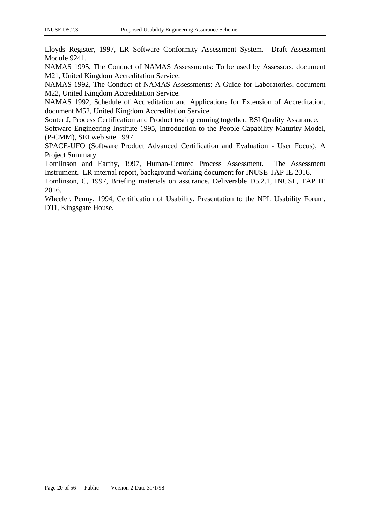Lloyds Register, 1997, LR Software Conformity Assessment System. Draft Assessment Module 9241.

NAMAS 1995, The Conduct of NAMAS Assessments: To be used by Assessors, document M21, United Kingdom Accreditation Service.

NAMAS 1992, The Conduct of NAMAS Assessments: A Guide for Laboratories, document M22, United Kingdom Accreditation Service.

NAMAS 1992, Schedule of Accreditation and Applications for Extension of Accreditation, document M52, United Kingdom Accreditation Service.

Souter J, Process Certification and Product testing coming together, BSI Quality Assurance.

Software Engineering Institute 1995, Introduction to the People Capability Maturity Model, (P-CMM), SEI web site 1997.

SPACE-UFO (Software Product Advanced Certification and Evaluation - User Focus), A Project Summary.

Tomlinson and Earthy, 1997, Human-Centred Process Assessment. The Assessment Instrument. LR internal report, background working document for INUSE TAP IE 2016.

Tomlinson, C, 1997, Briefing materials on assurance. Deliverable D5.2.1, INUSE, TAP IE 2016.

Wheeler, Penny, 1994, Certification of Usability, Presentation to the NPL Usability Forum, DTI, Kingsgate House.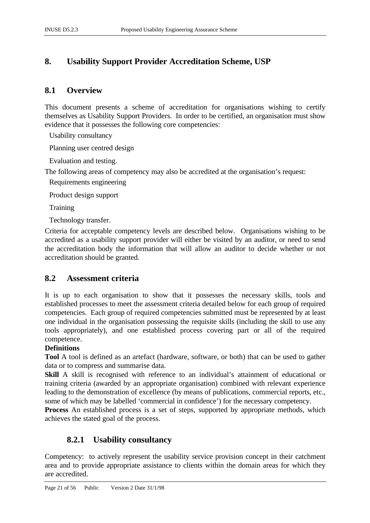# **8. Usability Support Provider Accreditation Scheme, USP**

# **8.1 Overview**

This document presents a scheme of accreditation for organisations wishing to certify themselves as Usability Support Providers. In order to be certified, an organisation must show evidence that it possesses the following core competencies:

Usability consultancy

Planning user centred design

Evaluation and testing.

The following areas of competency may also be accredited at the organisation's request:

Requirements engineering

Product design support

**Training** 

Technology transfer.

Criteria for acceptable competency levels are described below. Organisations wishing to be accredited as a usability support provider will either be visited by an auditor, or need to send the accreditation body the information that will allow an auditor to decide whether or not accreditation should be granted.

# **8.2 Assessment criteria**

It is up to each organisation to show that it possesses the necessary skills, tools and established processes to meet the assessment criteria detailed below for each group of required competencies. Each group of required competencies submitted must be represented by at least one individual in the organisation possessing the requisite skills (including the skill to use any tools appropriately), and one established process covering part or all of the required competence.

### **Definitions**

**Tool** A tool is defined as an artefact (hardware, software, or both) that can be used to gather data or to compress and summarise data.

**Skill** A skill is recognised with reference to an individual's attainment of educational or training criteria (awarded by an appropriate organisation) combined with relevant experience leading to the demonstration of excellence (by means of publications, commercial reports, etc., some of which may be labelled 'commercial in confidence') for the necessary competency.

**Process** An established process is a set of steps, supported by appropriate methods, which achieves the stated goal of the process.

# **8.2.1 Usability consultancy**

Competency: to actively represent the usability service provision concept in their catchment area and to provide appropriate assistance to clients within the domain areas for which they are accredited.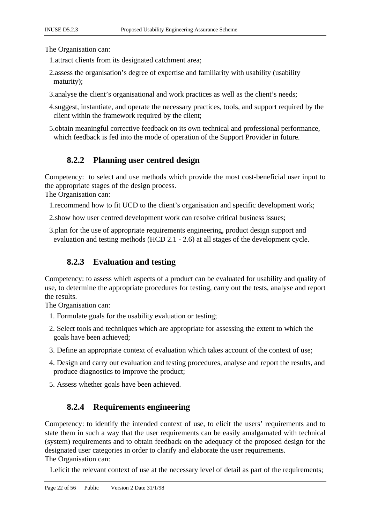The Organisation can:

1.attract clients from its designated catchment area;

- 2.assess the organisation's degree of expertise and familiarity with usability (usability maturity);
- 3.analyse the client's organisational and work practices as well as the client's needs;
- 4.suggest, instantiate, and operate the necessary practices, tools, and support required by the client within the framework required by the client;
- 5.obtain meaningful corrective feedback on its own technical and professional performance, which feedback is fed into the mode of operation of the Support Provider in future.

# **8.2.2 Planning user centred design**

Competency: to select and use methods which provide the most cost-beneficial user input to the appropriate stages of the design process.

The Organisation can:

- 1.recommend how to fit UCD to the client's organisation and specific development work;
- 2.show how user centred development work can resolve critical business issues;
- 3.plan for the use of appropriate requirements engineering, product design support and evaluation and testing methods (HCD 2.1 - 2.6) at all stages of the development cycle.

# **8.2.3 Evaluation and testing**

Competency: to assess which aspects of a product can be evaluated for usability and quality of use, to determine the appropriate procedures for testing, carry out the tests, analyse and report the results.

The Organisation can:

- 1. Formulate goals for the usability evaluation or testing;
- 2. Select tools and techniques which are appropriate for assessing the extent to which the goals have been achieved;
- 3. Define an appropriate context of evaluation which takes account of the context of use;
- 4. Design and carry out evaluation and testing procedures, analyse and report the results, and produce diagnostics to improve the product;
- 5. Assess whether goals have been achieved.

# **8.2.4 Requirements engineering**

Competency: to identify the intended context of use, to elicit the users' requirements and to state them in such a way that the user requirements can be easily amalgamated with technical (system) requirements and to obtain feedback on the adequacy of the proposed design for the designated user categories in order to clarify and elaborate the user requirements.

The Organisation can:

1.elicit the relevant context of use at the necessary level of detail as part of the requirements;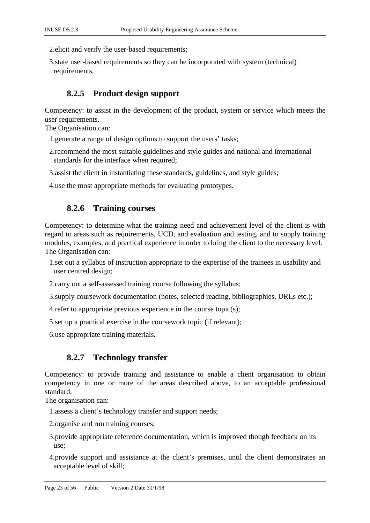2.elicit and verify the user-based requirements;

3.state user-based requirements so they can be incorporated with system (technical) requirements.

# **8.2.5 Product design support**

Competency: to assist in the development of the product, system or service which meets the user requirements.

The Organisation can:

1.generate a range of design options to support the users' tasks;

2.recommend the most suitable guidelines and style guides and national and international standards for the interface when required:

3.assist the client in instantiating these standards, guidelines, and style guides;

4.use the most appropriate methods for evaluating prototypes.

# **8.2.6 Training courses**

Competency: to determine what the training need and achievement level of the client is with regard to areas such as requirements, UCD, and evaluation and testing, and to supply training modules, examples, and practical experience in order to bring the client to the necessary level. The Organisation can:

1.set out a syllabus of instruction appropriate to the expertise of the trainees in usability and user centred design;

2.carry out a self-assessed training course following the syllabus;

3.supply coursework documentation (notes, selected reading, bibliographies, URLs etc.);

4.refer to appropriate previous experience in the course topic(s);

5.set up a practical exercise in the coursework topic (if relevant);

6.use appropriate training materials.

# **8.2.7 Technology transfer**

Competency: to provide training and assistance to enable a client organisation to obtain competency in one or more of the areas described above, to an acceptable professional standard.

The organisation can:

1.assess a client's technology transfer and support needs;

2.organise and run training courses;

3.provide appropriate reference documentation, which is improved though feedback on its use;

4.provide support and assistance at the client's premises, until the client demonstrates an acceptable level of skill;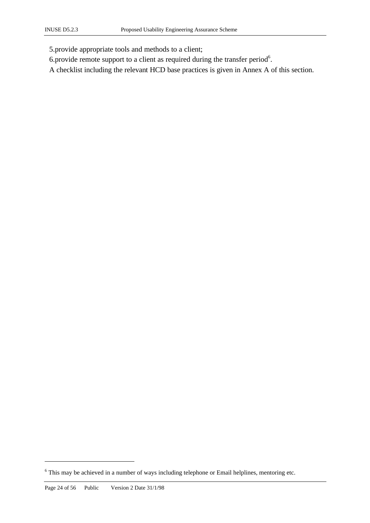5.provide appropriate tools and methods to a client;

- 6. provide remote support to a client as required during the transfer period $6$ .
- A checklist including the relevant HCD base practices is given in Annex A of this section.

 $\overline{a}$ 

<sup>&</sup>lt;sup>6</sup> This may be achieved in a number of ways including telephone or Email helplines, mentoring etc.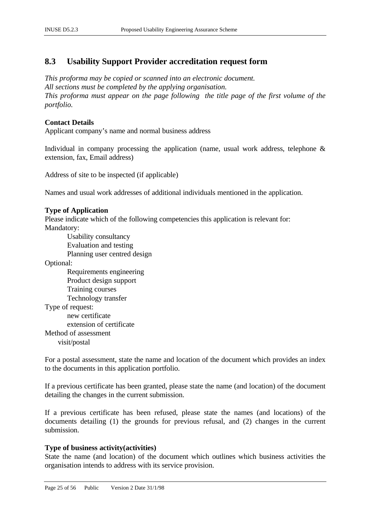# **8.3 Usability Support Provider accreditation request form**

*This proforma may be copied or scanned into an electronic document. All sections must be completed by the applying organisation. This proforma must appear on the page following the title page of the first volume of the portfolio.*

### **Contact Details**

Applicant company's name and normal business address

Individual in company processing the application (name, usual work address, telephone  $\&$ extension, fax, Email address)

Address of site to be inspected (if applicable)

Names and usual work addresses of additional individuals mentioned in the application.

### **Type of Application**

Please indicate which of the following competencies this application is relevant for: Mandatory:

Usability consultancy Evaluation and testing Planning user centred design

Optional:

Requirements engineering Product design support Training courses Technology transfer Type of request: new certificate

extension of certificate Method of assessment visit/postal

For a postal assessment, state the name and location of the document which provides an index to the documents in this application portfolio.

If a previous certificate has been granted, please state the name (and location) of the document detailing the changes in the current submission.

If a previous certificate has been refused, please state the names (and locations) of the documents detailing (1) the grounds for previous refusal, and (2) changes in the current submission.

### **Type of business activity(activities)**

State the name (and location) of the document which outlines which business activities the organisation intends to address with its service provision.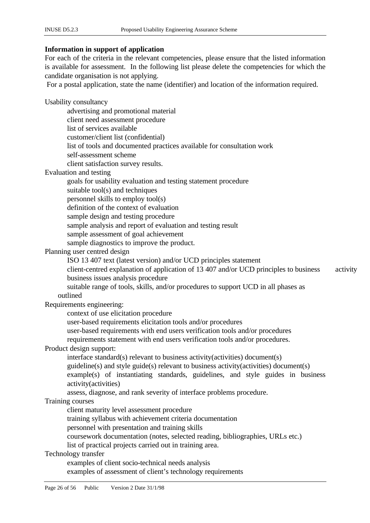### **Information in support of application**

For each of the criteria in the relevant competencies, please ensure that the listed information is available for assessment. In the following list please delete the competencies for which the candidate organisation is not applying. For a postal application, state the name (identifier) and location of the information required. Usability consultancy advertising and promotional material client need assessment procedure list of services available customer/client list (confidential) list of tools and documented practices available for consultation work self-assessment scheme client satisfaction survey results. Evaluation and testing goals for usability evaluation and testing statement procedure suitable tool(s) and techniques personnel skills to employ tool(s) definition of the context of evaluation sample design and testing procedure sample analysis and report of evaluation and testing result sample assessment of goal achievement sample diagnostics to improve the product. Planning user centred design ISO 13 407 text (latest version) and/or UCD principles statement client-centred explanation of application of 13 407 and/or UCD principles to business activity business issues analysis procedure suitable range of tools, skills, and/or procedures to support UCD in all phases as outlined Requirements engineering: context of use elicitation procedure user-based requirements elicitation tools and/or procedures user-based requirements with end users verification tools and/or procedures requirements statement with end users verification tools and/or procedures. Product design support: interface standard(s) relevant to business activity(activities) document(s) guideline(s) and style guide(s) relevant to business activity(activities) document(s) example(s) of instantiating standards, guidelines, and style guides in business activity(activities) assess, diagnose, and rank severity of interface problems procedure. Training courses client maturity level assessment procedure training syllabus with achievement criteria documentation personnel with presentation and training skills coursework documentation (notes, selected reading, bibliographies, URLs etc.) list of practical projects carried out in training area. Technology transfer examples of client socio-technical needs analysis examples of assessment of client's technology requirements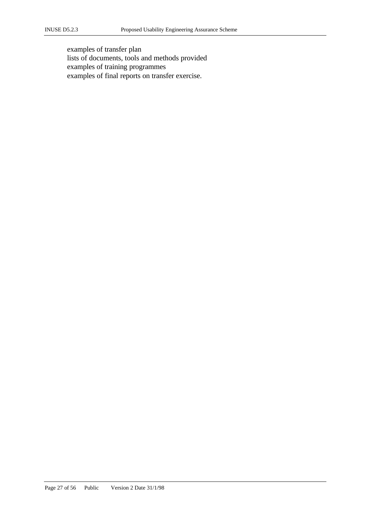examples of transfer plan lists of documents, tools and methods provided examples of training programmes examples of final reports on transfer exercise.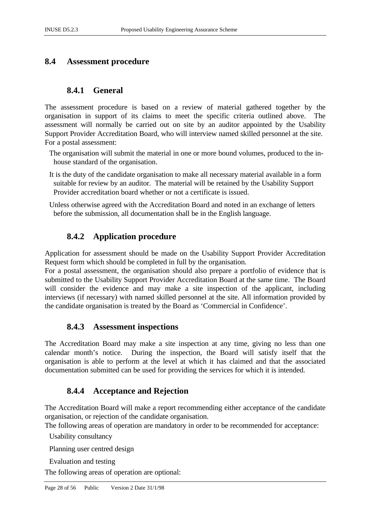# **8.4 Assessment procedure**

# **8.4.1 General**

The assessment procedure is based on a review of material gathered together by the organisation in support of its claims to meet the specific criteria outlined above. The assessment will normally be carried out on site by an auditor appointed by the Usability Support Provider Accreditation Board, who will interview named skilled personnel at the site. For a postal assessment:

- The organisation will submit the material in one or more bound volumes, produced to the inhouse standard of the organisation.
- It is the duty of the candidate organisation to make all necessary material available in a form suitable for review by an auditor. The material will be retained by the Usability Support Provider accreditation board whether or not a certificate is issued.

Unless otherwise agreed with the Accreditation Board and noted in an exchange of letters before the submission, all documentation shall be in the English language.

# **8.4.2 Application procedure**

Application for assessment should be made on the Usability Support Provider Accreditation Request form which should be completed in full by the organisation.

For a postal assessment, the organisation should also prepare a portfolio of evidence that is submitted to the Usability Support Provider Accreditation Board at the same time. The Board will consider the evidence and may make a site inspection of the applicant, including interviews (if necessary) with named skilled personnel at the site. All information provided by the candidate organisation is treated by the Board as 'Commercial in Confidence'.

### **8.4.3 Assessment inspections**

The Accreditation Board may make a site inspection at any time, giving no less than one calendar month's notice. During the inspection, the Board will satisfy itself that the organisation is able to perform at the level at which it has claimed and that the associated documentation submitted can be used for providing the services for which it is intended.

# **8.4.4 Acceptance and Rejection**

The Accreditation Board will make a report recommending either acceptance of the candidate organisation, or rejection of the candidate organisation.

The following areas of operation are mandatory in order to be recommended for acceptance:

Usability consultancy

Planning user centred design

Evaluation and testing

The following areas of operation are optional: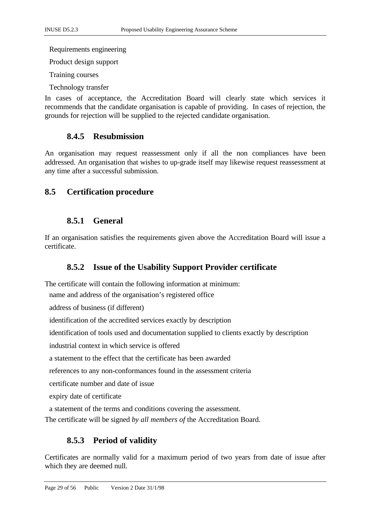Requirements engineering

Product design support

Training courses

Technology transfer

In cases of acceptance, the Accreditation Board will clearly state which services it recommends that the candidate organisation is capable of providing. In cases of rejection, the grounds for rejection will be supplied to the rejected candidate organisation.

# **8.4.5 Resubmission**

An organisation may request reassessment only if all the non compliances have been addressed. An organisation that wishes to up-grade itself may likewise request reassessment at any time after a successful submission.

# **8.5 Certification procedure**

# **8.5.1 General**

If an organisation satisfies the requirements given above the Accreditation Board will issue a certificate.

# **8.5.2 Issue of the Usability Support Provider certificate**

The certificate will contain the following information at minimum:

name and address of the organisation's registered office

address of business (if different)

identification of the accredited services exactly by description

identification of tools used and documentation supplied to clients exactly by description

industrial context in which service is offered

a statement to the effect that the certificate has been awarded

references to any non-conformances found in the assessment criteria

certificate number and date of issue

expiry date of certificate

a statement of the terms and conditions covering the assessment.

The certificate will be signed *by all members of* the Accreditation Board.

# **8.5.3 Period of validity**

Certificates are normally valid for a maximum period of two years from date of issue after which they are deemed null.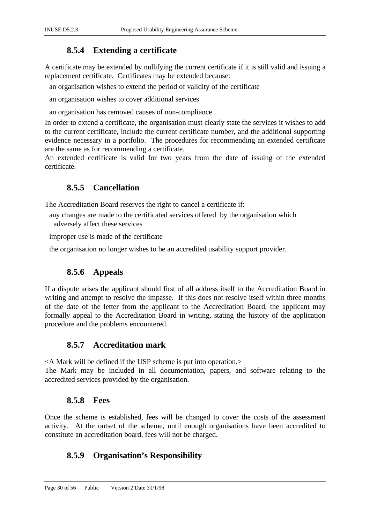# **8.5.4 Extending a certificate**

A certificate may be extended by nullifying the current certificate if it is still valid and issuing a replacement certificate. Certificates may be extended because:

an organisation wishes to extend the period of validity of the certificate

an organisation wishes to cover additional services

an organisation has removed causes of non-compliance

In order to extend a certificate, the organisation must clearly state the services it wishes to add to the current certificate, include the current certificate number, and the additional supporting evidence necessary in a portfolio. The procedures for recommending an extended certificate are the same as for recommending a certificate.

An extended certificate is valid for two years from the date of issuing of the extended certificate.

# **8.5.5 Cancellation**

The Accreditation Board reserves the right to cancel a certificate if:

- any changes are made to the certificated services offered by the organisation which adversely affect these services
- improper use is made of the certificate

the organisation no longer wishes to be an accredited usability support provider.

# **8.5.6 Appeals**

If a dispute arises the applicant should first of all address itself to the Accreditation Board in writing and attempt to resolve the impasse. If this does not resolve itself within three months of the date of the letter from the applicant to the Accreditation Board, the applicant may formally appeal to the Accreditation Board in writing, stating the history of the application procedure and the problems encountered.

# **8.5.7 Accreditation mark**

<A Mark will be defined if the USP scheme is put into operation.>

The Mark may be included in all documentation, papers, and software relating to the accredited services provided by the organisation.

# **8.5.8 Fees**

Once the scheme is established, fees will be changed to cover the costs of the assessment activity. At the outset of the scheme, until enough organisations have been accredited to constitute an accreditation board, fees will not be charged.

# **8.5.9 Organisation's Responsibility**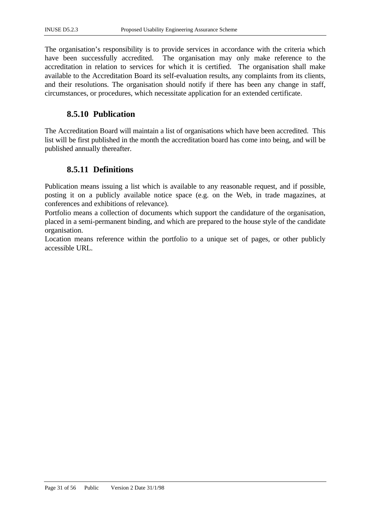The organisation's responsibility is to provide services in accordance with the criteria which have been successfully accredited. The organisation may only make reference to the accreditation in relation to services for which it is certified. The organisation shall make available to the Accreditation Board its self-evaluation results, any complaints from its clients, and their resolutions. The organisation should notify if there has been any change in staff, circumstances, or procedures, which necessitate application for an extended certificate.

# **8.5.10 Publication**

The Accreditation Board will maintain a list of organisations which have been accredited. This list will be first published in the month the accreditation board has come into being, and will be published annually thereafter.

# **8.5.11 Definitions**

Publication means issuing a list which is available to any reasonable request, and if possible, posting it on a publicly available notice space (e.g. on the Web, in trade magazines, at conferences and exhibitions of relevance).

Portfolio means a collection of documents which support the candidature of the organisation, placed in a semi-permanent binding, and which are prepared to the house style of the candidate organisation.

Location means reference within the portfolio to a unique set of pages, or other publicly accessible URL.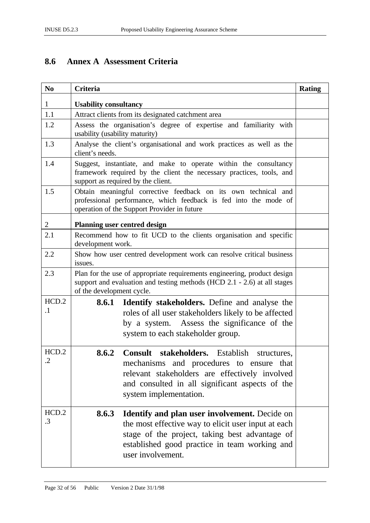# **8.6 Annex A Assessment Criteria**

| N <sub>0</sub>     | <b>Criteria</b>                                                                                                                                                                                                                              | <b>Rating</b> |
|--------------------|----------------------------------------------------------------------------------------------------------------------------------------------------------------------------------------------------------------------------------------------|---------------|
| $\mathbf{1}$       | <b>Usability consultancy</b>                                                                                                                                                                                                                 |               |
| 1.1                | Attract clients from its designated catchment area                                                                                                                                                                                           |               |
| 1.2                | Assess the organisation's degree of expertise and familiarity with<br>usability (usability maturity)                                                                                                                                         |               |
| 1.3                | Analyse the client's organisational and work practices as well as the<br>client's needs.                                                                                                                                                     |               |
| 1.4                | Suggest, instantiate, and make to operate within the consultancy<br>framework required by the client the necessary practices, tools, and<br>support as required by the client.                                                               |               |
| 1.5                | Obtain meaningful corrective feedback on its own technical and<br>professional performance, which feedback is fed into the mode of<br>operation of the Support Provider in future                                                            |               |
| $\overline{2}$     | <b>Planning user centred design</b>                                                                                                                                                                                                          |               |
| 2.1                | Recommend how to fit UCD to the clients organisation and specific<br>development work.                                                                                                                                                       |               |
| 2.2                | Show how user centred development work can resolve critical business<br>issues.                                                                                                                                                              |               |
| 2.3                | Plan for the use of appropriate requirements engineering, product design<br>support and evaluation and testing methods (HCD 2.1 - 2.6) at all stages<br>of the development cycle.                                                            |               |
| HCD.2<br>$\cdot$ 1 | <b>Identify stakeholders.</b> Define and analyse the<br>8.6.1<br>roles of all user stakeholders likely to be affected<br>by a system. Assess the significance of the<br>system to each stakeholder group.                                    |               |
| HCD.2<br>$\cdot$   | 8.6.2<br>Consult stakeholders. Establish<br>structures,<br>mechanisms and procedures to ensure that<br>relevant stakeholders are effectively involved<br>and consulted in all significant aspects of the<br>system implementation.           |               |
| HCD.2<br>$\cdot$ 3 | 8.6.3<br><b>Identify and plan user involvement.</b> Decide on<br>the most effective way to elicit user input at each<br>stage of the project, taking best advantage of<br>established good practice in team working and<br>user involvement. |               |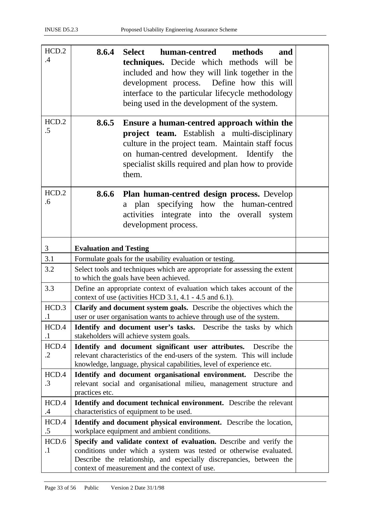| HCD.2<br>.4         | 8.6.4<br><b>Select</b><br>human-centred<br>methods<br>and<br>techniques. Decide which methods will be<br>included and how they will link together in the<br>development process. Define how this will<br>interface to the particular lifecycle methodology<br>being used in the development of the system. |  |
|---------------------|------------------------------------------------------------------------------------------------------------------------------------------------------------------------------------------------------------------------------------------------------------------------------------------------------------|--|
| HCD.2<br>.5         | 8.6.5<br>Ensure a human-centred approach within the<br>project team. Establish a multi-disciplinary<br>culture in the project team. Maintain staff focus<br>on human-centred development. Identify the<br>specialist skills required and plan how to provide<br>them.                                      |  |
| HCD.2<br>.6         | Plan human-centred design process. Develop<br>8.6.6<br>a plan specifying how the human-centred<br>activities integrate into the overall system<br>development process.                                                                                                                                     |  |
| 3                   | <b>Evaluation and Testing</b>                                                                                                                                                                                                                                                                              |  |
| 3.1                 | Formulate goals for the usability evaluation or testing.                                                                                                                                                                                                                                                   |  |
| 3.2                 | Select tools and techniques which are appropriate for assessing the extent<br>to which the goals have been achieved.                                                                                                                                                                                       |  |
| 3.3                 | Define an appropriate context of evaluation which takes account of the<br>context of use (activities HCD 3.1, 4.1 - 4.5 and 6.1).                                                                                                                                                                          |  |
| HCD.3<br>$\cdot$ 1  | Clarify and document system goals. Describe the objectives which the<br>user or user organisation wants to achieve through use of the system.                                                                                                                                                              |  |
| HCD.4<br>$\cdot$    | <b>Identify and document user's tasks.</b> Describe the tasks by which<br>stakeholders will achieve system goals.                                                                                                                                                                                          |  |
| HCD.4<br>$\cdot$ .2 | Identify and document significant user attributes.<br>Describe the<br>relevant characteristics of the end-users of the system. This will include<br>knowledge, language, physical capabilities, level of experience etc.                                                                                   |  |
| HCD.4<br>$\cdot$ 3  | Identify and document organisational environment. Describe the<br>relevant social and organisational milieu, management structure and<br>practices etc.                                                                                                                                                    |  |
| HCD.4               | <b>Identify and document technical environment.</b> Describe the relevant                                                                                                                                                                                                                                  |  |
| $.4\,$              | characteristics of equipment to be used.                                                                                                                                                                                                                                                                   |  |
| HCD.4<br>$.5\,$     | Identify and document physical environment. Describe the location,<br>workplace equipment and ambient conditions.                                                                                                                                                                                          |  |
| HCD.6               | Specify and validate context of evaluation. Describe and verify the                                                                                                                                                                                                                                        |  |
| $\cdot$             | conditions under which a system was tested or otherwise evaluated.<br>Describe the relationship, and especially discrepancies, between the<br>context of measurement and the context of use.                                                                                                               |  |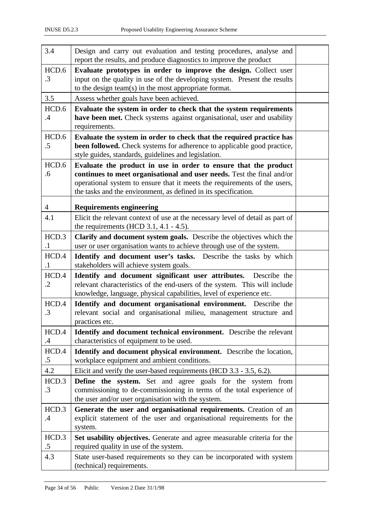| 3.4            | Design and carry out evaluation and testing procedures, analyse and            |  |
|----------------|--------------------------------------------------------------------------------|--|
|                | report the results, and produce diagnostics to improve the product             |  |
| HCD.6          | Evaluate prototypes in order to improve the design. Collect user               |  |
| $\cdot$ 3      | input on the quality in use of the developing system. Present the results      |  |
|                | to the design team(s) in the most appropriate format.                          |  |
| 3.5            | Assess whether goals have been achieved.                                       |  |
| HCD.6          | Evaluate the system in order to check that the system requirements             |  |
| .4             | have been met. Check systems against organisational, user and usability        |  |
|                | requirements.                                                                  |  |
| HCD.6          | Evaluate the system in order to check that the required practice has           |  |
| $.5\,$         | been followed. Check systems for adherence to applicable good practice,        |  |
|                | style guides, standards, guidelines and legislation.                           |  |
| HCD.6          | Evaluate the product in use in order to ensure that the product                |  |
| .6             | continues to meet organisational and user needs. Test the final and/or         |  |
|                | operational system to ensure that it meets the requirements of the users,      |  |
|                | the tasks and the environment, as defined in its specification.                |  |
| $\overline{4}$ | <b>Requirements engineering</b>                                                |  |
| 4.1            | Elicit the relevant context of use at the necessary level of detail as part of |  |
|                | the requirements (HCD $3.1$ , $4.1 - 4.5$ ).                                   |  |
| HCD.3          | Clarify and document system goals. Describe the objectives which the           |  |
| $\cdot$ 1      | user or user organisation wants to achieve through use of the system.          |  |
| HCD.4          | Identify and document user's tasks. Describe the tasks by which                |  |
| $\cdot$ 1      | stakeholders will achieve system goals.                                        |  |
| HCD.4          | Identify and document significant user attributes.<br>Describe the             |  |
| $\cdot$ .2     | relevant characteristics of the end-users of the system. This will include     |  |
|                | knowledge, language, physical capabilities, level of experience etc.           |  |
| HCD.4          | Identify and document organisational environment. Describe the                 |  |
| $\cdot$ 3      | relevant social and organisational milieu, management structure and            |  |
|                | practices etc.                                                                 |  |
| HCD.4          | Identify and document technical environment. Describe the relevant             |  |
| .4             | characteristics of equipment to be used.                                       |  |
| HCD.4          | Identify and document physical environment. Describe the location,             |  |
| $.5\,$         | workplace equipment and ambient conditions.                                    |  |
| 4.2            | Elicit and verify the user-based requirements (HCD 3.3 - 3.5, 6.2).            |  |
| HCD.3          | <b>Define the system.</b> Set and agree goals for the system from              |  |
| $\cdot$ 3      | commissioning to de-commissioning in terms of the total experience of          |  |
|                | the user and/or user organisation with the system.                             |  |
| HCD.3          | Generate the user and organisational requirements. Creation of an              |  |
| $\mathcal{A}$  | explicit statement of the user and organisational requirements for the         |  |
|                | system.                                                                        |  |
| HCD.3          | Set usability objectives. Generate and agree measurable criteria for the       |  |
| $.5\,$         | required quality in use of the system.                                         |  |
| 4.3            | State user-based requirements so they can be incorporated with system          |  |
|                | (technical) requirements.                                                      |  |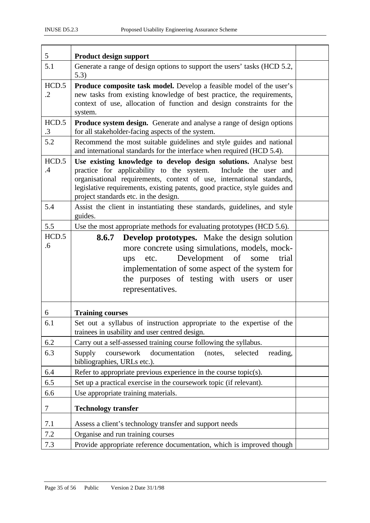| 5                      | <b>Product design support</b>                                                                                                                                                                                                                                                                                                          |  |
|------------------------|----------------------------------------------------------------------------------------------------------------------------------------------------------------------------------------------------------------------------------------------------------------------------------------------------------------------------------------|--|
| 5.1                    | Generate a range of design options to support the users' tasks (HCD 5.2,<br>5.3)                                                                                                                                                                                                                                                       |  |
| HCD.5<br>$\cdot$ .2    | <b>Produce composite task model.</b> Develop a feasible model of the user's<br>new tasks from existing knowledge of best practice, the requirements,<br>context of use, allocation of function and design constraints for the<br>system.                                                                                               |  |
| HCD.5<br>$\cdot$ 3     | Produce system design. Generate and analyse a range of design options<br>for all stakeholder-facing aspects of the system.                                                                                                                                                                                                             |  |
| 5.2                    | Recommend the most suitable guidelines and style guides and national<br>and international standards for the interface when required (HCD 5.4).                                                                                                                                                                                         |  |
| HCD.5<br>$\mathcal{A}$ | Use existing knowledge to develop design solutions. Analyse best<br>practice for applicability to the system.<br>Include the user and<br>organisational requirements, context of use, international standards,<br>legislative requirements, existing patents, good practice, style guides and<br>project standards etc. in the design. |  |
| 5.4                    | Assist the client in instantiating these standards, guidelines, and style<br>guides.                                                                                                                                                                                                                                                   |  |
| 5.5                    | Use the most appropriate methods for evaluating prototypes (HCD 5.6).                                                                                                                                                                                                                                                                  |  |
| HCD.5<br>.6            | <b>Develop prototypes.</b> Make the design solution<br>8.6.7<br>more concrete using simulations, models, mock-<br>Development of<br>some<br>trial<br>etc.<br>ups<br>implementation of some aspect of the system for<br>the purposes of testing with users or user<br>representatives.                                                  |  |
| 6                      | <b>Training courses</b>                                                                                                                                                                                                                                                                                                                |  |
| 6.1                    | Set out a syllabus of instruction appropriate to the expertise of the<br>trainees in usability and user centred design.                                                                                                                                                                                                                |  |
| 6.2                    | Carry out a self-assessed training course following the syllabus.                                                                                                                                                                                                                                                                      |  |
| 6.3                    | documentation<br>coursework<br>Supply<br>(notes,<br>selected<br>reading,<br>bibliographies, URLs etc.).                                                                                                                                                                                                                                |  |
| 6.4                    | Refer to appropriate previous experience in the course topic(s).                                                                                                                                                                                                                                                                       |  |
| 6.5                    | Set up a practical exercise in the coursework topic (if relevant).                                                                                                                                                                                                                                                                     |  |
| 6.6                    | Use appropriate training materials.                                                                                                                                                                                                                                                                                                    |  |
| 7                      | <b>Technology transfer</b>                                                                                                                                                                                                                                                                                                             |  |
| 7.1                    | Assess a client's technology transfer and support needs                                                                                                                                                                                                                                                                                |  |
| 7.2                    | Organise and run training courses                                                                                                                                                                                                                                                                                                      |  |
| 7.3                    | Provide appropriate reference documentation, which is improved though                                                                                                                                                                                                                                                                  |  |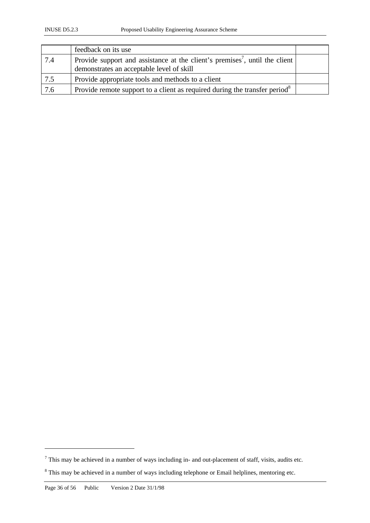|     | feedback on its use                                                                                                                  |  |
|-----|--------------------------------------------------------------------------------------------------------------------------------------|--|
| 7.4 | Provide support and assistance at the client's premises <sup>7</sup> , until the client<br>demonstrates an acceptable level of skill |  |
| 7.5 | Provide appropriate tools and methods to a client                                                                                    |  |
| 7.6 | Provide remote support to a client as required during the transfer period <sup>8</sup>                                               |  |

 $\overline{a}$ 

 $<sup>7</sup>$  This may be achieved in a number of ways including in- and out-placement of staff, visits, audits etc.</sup>

 $8$  This may be achieved in a number of ways including telephone or Email helplines, mentoring etc.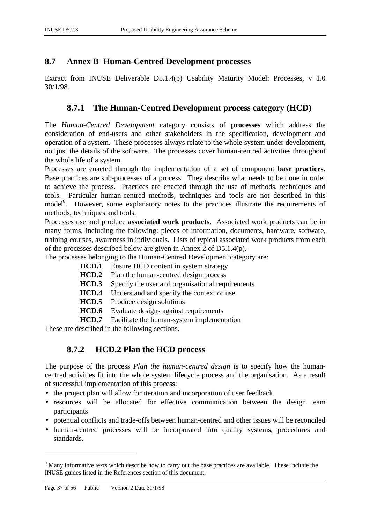# **8.7 Annex B Human-Centred Development processes**

Extract from INUSE Deliverable D5.1.4(p) Usability Maturity Model: Processes, v 1.0 30/1/98.

# **8.7.1 The Human-Centred Development process category (HCD)**

The *Human-Centred Development* category consists of **processes** which address the consideration of end-users and other stakeholders in the specification, development and operation of a system. These processes always relate to the whole system under development, not just the details of the software. The processes cover human-centred activities throughout the whole life of a system.

Processes are enacted through the implementation of a set of component **base practices**. Base practices are sub-processes of a process. They describe what needs to be done in order to achieve the process. Practices are enacted through the use of methods, techniques and tools. Particular human-centred methods, techniques and tools are not described in this model<sup>9</sup>. However, some explanatory notes to the practices illustrate the requirements of methods, techniques and tools.

Processes use and produce **associated work products**. Associated work products can be in many forms, including the following: pieces of information, documents, hardware, software, training courses, awareness in individuals. Lists of typical associated work products from each of the processes described below are given in Annex 2 of D5.1.4(p).

The processes belonging to the Human-Centred Development category are:

- **HCD.1** Ensure HCD content in system strategy
- **HCD.2** Plan the human-centred design process
- **HCD.3** Specify the user and organisational requirements
- **HCD.4** Understand and specify the context of use
- **HCD.5** Produce design solutions
- **HCD.6** Evaluate designs against requirements
- **HCD.7** Facilitate the human-system implementation

These are described in the following sections.

# **8.7.2 HCD.2 Plan the HCD process**

The purpose of the process *Plan the human-centred design* is to specify how the humancentred activities fit into the whole system lifecycle process and the organisation. As a result of successful implementation of this process:

- the project plan will allow for iteration and incorporation of user feedback
- resources will be allocated for effective communication between the design team participants
- potential conflicts and trade-offs between human-centred and other issues will be reconciled
- human-centred processes will be incorporated into quality systems, procedures and standards.

 $\overline{a}$ 

<sup>&</sup>lt;sup>9</sup> Many informative texts which describe how to carry out the base practices are available. These include the INUSE guides listed in the References section of this document.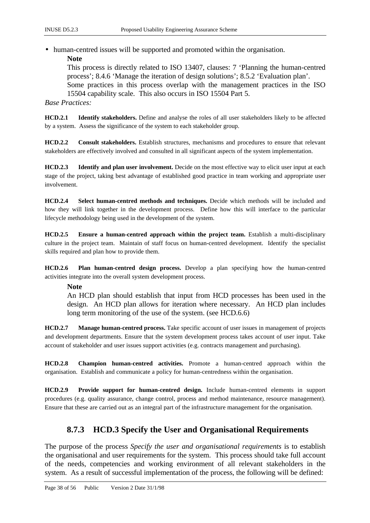• human-centred issues will be supported and promoted within the organisation.

**Note**

This process is directly related to ISO 13407, clauses: 7 'Planning the human-centred process'; 8.4.6 'Manage the iteration of design solutions'; 8.5.2 'Evaluation plan'. Some practices in this process overlap with the management practices in the ISO 15504 capability scale. This also occurs in ISO 15504 Part 5.

*Base Practices:*

**HCD.2.1 Identify stakeholders.** Define and analyse the roles of all user stakeholders likely to be affected by a system. Assess the significance of the system to each stakeholder group.

**HCD.2.2 Consult stakeholders.** Establish structures, mechanisms and procedures to ensure that relevant stakeholders are effectively involved and consulted in all significant aspects of the system implementation.

**HCD.2.3 Identify and plan user involvement.** Decide on the most effective way to elicit user input at each stage of the project, taking best advantage of established good practice in team working and appropriate user involvement.

**HCD.2.4 Select human-centred methods and techniques.** Decide which methods will be included and how they will link together in the development process. Define how this will interface to the particular lifecycle methodology being used in the development of the system.

**HCD.2.5 Ensure a human-centred approach within the project team.** Establish a multi-disciplinary culture in the project team. Maintain of staff focus on human-centred development. Identify the specialist skills required and plan how to provide them.

**HCD.2.6 Plan human-centred design process.** Develop a plan specifying how the human-centred activities integrate into the overall system development process.

### **Note**

An HCD plan should establish that input from HCD processes has been used in the design. An HCD plan allows for iteration where necessary. An HCD plan includes long term monitoring of the use of the system. (see HCD.6.6)

**HCD.2.7 Manage human-centred process.** Take specific account of user issues in management of projects and development departments. Ensure that the system development process takes account of user input. Take account of stakeholder and user issues support activities (e.g. contracts management and purchasing).

**HCD.2.8 Champion human-centred activities.** Promote a human-centred approach within the organisation. Establish and communicate a policy for human-centredness within the organisation.

**HCD.2.9 Provide support for human-centred design.** Include human-centred elements in support procedures (e.g. quality assurance, change control, process and method maintenance, resource management). Ensure that these are carried out as an integral part of the infrastructure management for the organisation.

# **8.7.3 HCD.3 Specify the User and Organisational Requirements**

The purpose of the process *Specify the user and organisational requirements* is to establish the organisational and user requirements for the system. This process should take full account of the needs, competencies and working environment of all relevant stakeholders in the system. As a result of successful implementation of the process, the following will be defined: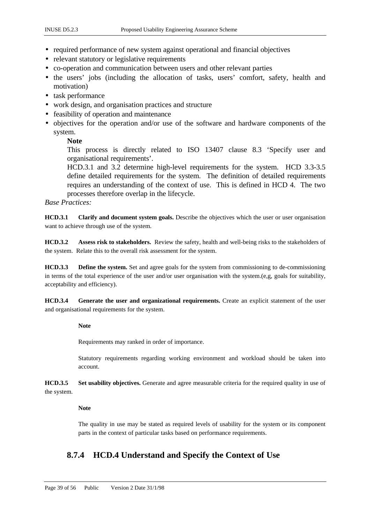- required performance of new system against operational and financial objectives
- relevant statutory or legislative requirements
- co-operation and communication between users and other relevant parties
- the users' jobs (including the allocation of tasks, users' comfort, safety, health and motivation)
- task performance
- work design, and organisation practices and structure
- feasibility of operation and maintenance
- objectives for the operation and/or use of the software and hardware components of the system.

### **Note**

This process is directly related to ISO 13407 clause 8.3 'Specify user and organisational requirements'.

HCD.3.1 and 3.2 determine high-level requirements for the system. HCD 3.3-3.5 define detailed requirements for the system. The definition of detailed requirements requires an understanding of the context of use. This is defined in HCD 4. The two processes therefore overlap in the lifecycle.

### *Base Practices:*

**HCD.3.1 Clarify and document system goals.** Describe the objectives which the user or user organisation want to achieve through use of the system.

**HCD.3.2 Assess risk to stakeholders.** Review the safety, health and well-being risks to the stakeholders of the system. Relate this to the overall risk assessment for the system.

**HCD.3.3 Define the system.** Set and agree goals for the system from commissioning to de-commissioning in terms of the total experience of the user and/or user organisation with the system.(e,g, goals for suitability, acceptability and efficiency).

**HCD.3.4 Generate the user and organizational requirements.** Create an explicit statement of the user and organisational requirements for the system.

### **Note**

Requirements may ranked in order of importance.

Statutory requirements regarding working environment and workload should be taken into account.

**HCD.3.5 Set usability objectives.** Generate and agree measurable criteria for the required quality in use of the system.

### **Note**

The quality in use may be stated as required levels of usability for the system or its component parts in the context of particular tasks based on performance requirements.

# **8.7.4 HCD.4 Understand and Specify the Context of Use**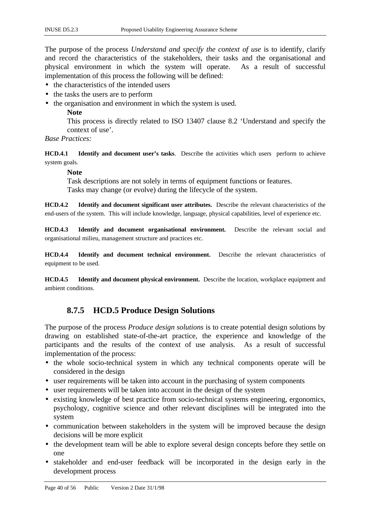The purpose of the process *Understand and specify the context of use* is to identify, clarify and record the characteristics of the stakeholders, their tasks and the organisational and physical environment in which the system will operate. As a result of successful implementation of this process the following will be defined:

- the characteristics of the intended users
- the tasks the users are to perform
- the organisation and environment in which the system is used.
	- **Note**

This process is directly related to ISO 13407 clause 8.2 'Understand and specify the context of use'.

### *Base Practices:*

**HCD.4.1 Identify and document user's tasks**. Describe the activities which users perform to achieve system goals.

### **Note**

Task descriptions are not solely in terms of equipment functions or features. Tasks may change (or evolve) during the lifecycle of the system.

**HCD.4.2 Identify and document significant user attributes.** Describe the relevant characteristics of the end-users of the system. This will include knowledge, language, physical capabilities, level of experience etc.

**HCD.4.3 Identify and document organisational environment.** Describe the relevant social and organisational milieu, management structure and practices etc.

**HCD.4.4 Identify and document technical environment.** Describe the relevant characteristics of equipment to be used.

**HCD.4.5 Identify and document physical environment.** Describe the location, workplace equipment and ambient conditions.

# **8.7.5 HCD.5 Produce Design Solutions**

The purpose of the process *Produce design solutions* is to create potential design solutions by drawing on established state-of-the-art practice, the experience and knowledge of the participants and the results of the context of use analysis. As a result of successful implementation of the process:

- the whole socio-technical system in which any technical components operate will be considered in the design
- user requirements will be taken into account in the purchasing of system components
- user requirements will be taken into account in the design of the system
- existing knowledge of best practice from socio-technical systems engineering, ergonomics, psychology, cognitive science and other relevant disciplines will be integrated into the system
- communication between stakeholders in the system will be improved because the design decisions will be more explicit
- the development team will be able to explore several design concepts before they settle on one
- stakeholder and end-user feedback will be incorporated in the design early in the development process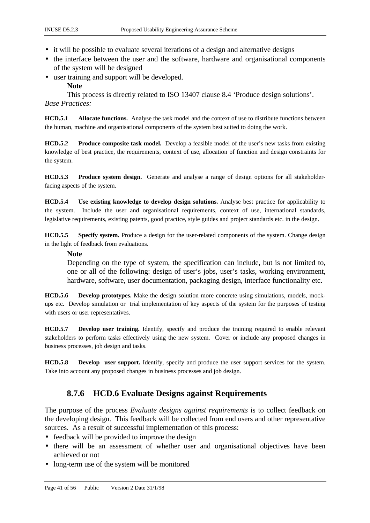- it will be possible to evaluate several iterations of a design and alternative designs
- the interface between the user and the software, hardware and organisational components of the system will be designed
- user training and support will be developed.
	- **Note**

This process is directly related to ISO 13407 clause 8.4 'Produce design solutions'. *Base Practices:*

**HCD.5.1 Allocate functions.** Analyse the task model and the context of use to distribute functions between the human, machine and organisational components of the system best suited to doing the work.

**HCD.5.2 Produce composite task model.** Develop a feasible model of the user's new tasks from existing knowledge of best practice, the requirements, context of use, allocation of function and design constraints for the system.

**HCD.5.3 Produce system design.** Generate and analyse a range of design options for all stakeholderfacing aspects of the system.

**HCD.5.4 Use existing knowledge to develop design solutions.** Analyse best practice for applicability to the system. Include the user and organisational requirements, context of use, international standards, legislative requirements, existing patents, good practice, style guides and project standards etc. in the design.

**HCD.5.5 Specify system.** Produce a design for the user-related components of the system. Change design in the light of feedback from evaluations.

### **Note**

Depending on the type of system, the specification can include, but is not limited to, one or all of the following: design of user's jobs, user's tasks, working environment, hardware, software, user documentation, packaging design, interface functionality etc.

**HCD.5.6 Develop prototypes.** Make the design solution more concrete using simulations, models, mockups etc. Develop simulation or trial implementation of key aspects of the system for the purposes of testing with users or user representatives.

**HCD.5.7 Develop user training.** Identify, specify and produce the training required to enable relevant stakeholders to perform tasks effectively using the new system. Cover or include any proposed changes in business processes, job design and tasks.

**HCD.5.8 Develop user support.** Identify, specify and produce the user support services for the system. Take into account any proposed changes in business processes and job design.

# **8.7.6 HCD.6 Evaluate Designs against Requirements**

The purpose of the process *Evaluate designs against requirements* is to collect feedback on the developing design. This feedback will be collected from end users and other representative sources. As a result of successful implementation of this process:

- feedback will be provided to improve the design
- there will be an assessment of whether user and organisational objectives have been achieved or not
- long-term use of the system will be monitored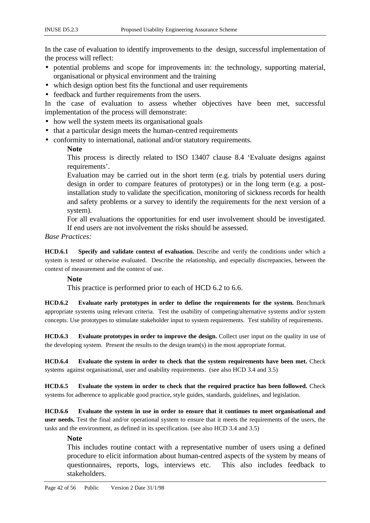In the case of evaluation to identify improvements to the design, successful implementation of the process will reflect:

- potential problems and scope for improvements in: the technology, supporting material, organisational or physical environment and the training
- which design option best fits the functional and user requirements
- feedback and further requirements from the users.

In the case of evaluation to assess whether objectives have been met, successful implementation of the process will demonstrate:

- how well the system meets its organisational goals
- that a particular design meets the human-centred requirements
- conformity to international, national and/or statutory requirements.

### **Note**

This process is directly related to ISO 13407 clause 8.4 'Evaluate designs against requirements'.

Evaluation may be carried out in the short term (e.g. trials by potential users during design in order to compare features of prototypes) or in the long term (e.g. a postinstallation study to validate the specification, monitoring of sickness records for health and safety problems or a survey to identify the requirements for the next version of a system).

For all evaluations the opportunities for end user involvement should be investigated. If end users are not involvement the risks should be assessed.

### *Base Practices:*

**HCD.6.1 Specify and validate context of evaluation.** Describe and verify the conditions under which a system is tested or otherwise evaluated. Describe the relationship, and especially discrepancies, between the context of measurement and the context of use.

### **Note**

This practice is performed prior to each of HCD 6.2 to 6.6.

**HCD.6.2 Evaluate early prototypes in order to define the requirements for the system.** Benchmark appropriate systems using relevant criteria. Test the usability of competing/alternative systems and/or system concepts. Use prototypes to stimulate stakeholder input to system requirements. Test stability of requirements.

**HCD.6.3 Evaluate prototypes in order to improve the design.** Collect user input on the quality in use of the developing system. Present the results to the design team(s) in the most appropriate format.

**HCD.6.4 Evaluate the system in order to check that the system requirements have been met.** Check systems against organisational, user and usability requirements. (see also HCD 3.4 and 3.5)

**HCD.6.5 Evaluate the system in order to check that the required practice has been followed.** Check systems for adherence to applicable good practice, style guides, standards, guidelines, and legislation.

**HCD.6.6 Evaluate the system in use in order to ensure that it continues to meet organisational and user needs.** Test the final and/or operational system to ensure that it meets the requirements of the users, the tasks and the environment, as defined in its specification. (see also HCD 3.4 and 3.5)

### **Note**

This includes routine contact with a representative number of users using a defined procedure to elicit information about human-centred aspects of the system by means of questionnaires, reports, logs, interviews etc. This also includes feedback to stakeholders.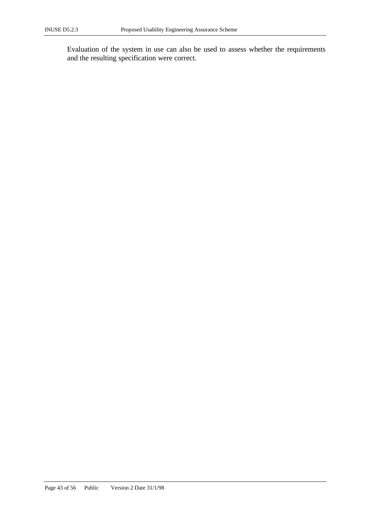Evaluation of the system in use can also be used to assess whether the requirements and the resulting specification were correct.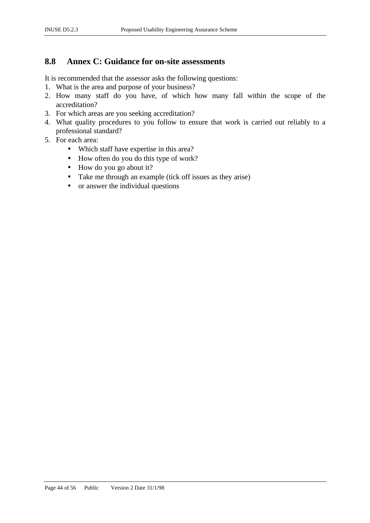# **8.8 Annex C: Guidance for on-site assessments**

It is recommended that the assessor asks the following questions:

- 1. What is the area and purpose of your business?
- 2. How many staff do you have, of which how many fall within the scope of the accreditation?
- 3. For which areas are you seeking accreditation?
- 4. What quality procedures to you follow to ensure that work is carried out reliably to a professional standard?
- 5. For each area:
	- Which staff have expertise in this area?
	- How often do you do this type of work?
	- How do you go about it?
	- Take me through an example (tick off issues as they arise)
	- or answer the individual questions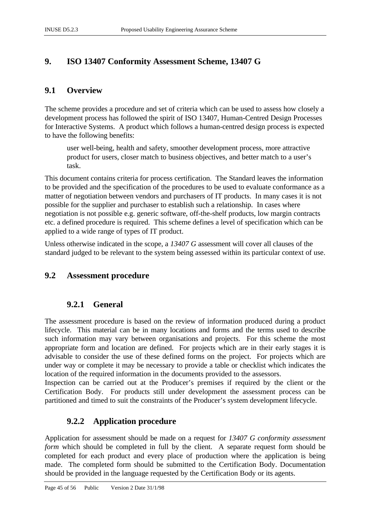# **9. ISO 13407 Conformity Assessment Scheme, 13407 G**

# **9.1 Overview**

The scheme provides a procedure and set of criteria which can be used to assess how closely a development process has followed the spirit of ISO 13407, Human-Centred Design Processes for Interactive Systems. A product which follows a human-centred design process is expected to have the following benefits:

user well-being, health and safety, smoother development process, more attractive product for users, closer match to business objectives, and better match to a user's task.

This document contains criteria for process certification. The Standard leaves the information to be provided and the specification of the procedures to be used to evaluate conformance as a matter of negotiation between vendors and purchasers of IT products. In many cases it is not possible for the supplier and purchaser to establish such a relationship. In cases where negotiation is not possible e.g. generic software, off-the-shelf products, low margin contracts etc. a defined procedure is required. This scheme defines a level of specification which can be applied to a wide range of types of IT product.

Unless otherwise indicated in the scope, a *13407 G* assessment will cover all clauses of the standard judged to be relevant to the system being assessed within its particular context of use.

# **9.2 Assessment procedure**

# **9.2.1 General**

The assessment procedure is based on the review of information produced during a product lifecycle. This material can be in many locations and forms and the terms used to describe such information may vary between organisations and projects. For this scheme the most appropriate form and location are defined. For projects which are in their early stages it is advisable to consider the use of these defined forms on the project. For projects which are under way or complete it may be necessary to provide a table or checklist which indicates the location of the required information in the documents provided to the assessors.

Inspection can be carried out at the Producer's premises if required by the client or the Certification Body. For products still under development the assessment process can be partitioned and timed to suit the constraints of the Producer's system development lifecycle.

# **9.2.2 Application procedure**

Application for assessment should be made on a request for *13407 G conformity assessment form* which should be completed in full by the client. A separate request form should be completed for each product and every place of production where the application is being made. The completed form should be submitted to the Certification Body. Documentation should be provided in the language requested by the Certification Body or its agents.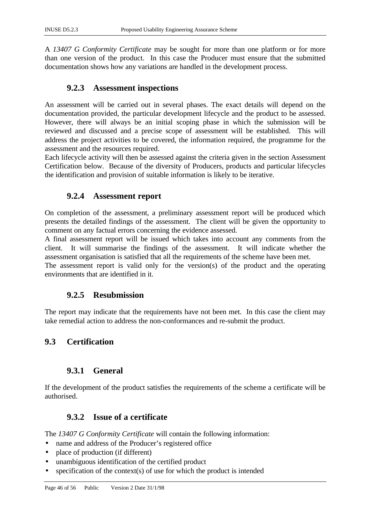A *13407 G Conformity Certificate* may be sought for more than one platform or for more than one version of the product. In this case the Producer must ensure that the submitted documentation shows how any variations are handled in the development process.

# **9.2.3 Assessment inspections**

An assessment will be carried out in several phases. The exact details will depend on the documentation provided, the particular development lifecycle and the product to be assessed. However, there will always be an initial scoping phase in which the submission will be reviewed and discussed and a precise scope of assessment will be established. This will address the project activities to be covered, the information required, the programme for the assessment and the resources required.

Each lifecycle activity will then be assessed against the criteria given in the section Assessment Certification below. Because of the diversity of Producers, products and particular lifecycles the identification and provision of suitable information is likely to be iterative.

# **9.2.4 Assessment report**

On completion of the assessment, a preliminary assessment report will be produced which presents the detailed findings of the assessment. The client will be given the opportunity to comment on any factual errors concerning the evidence assessed.

A final assessment report will be issued which takes into account any comments from the client. It will summarise the findings of the assessment. It will indicate whether the assessment organisation is satisfied that all the requirements of the scheme have been met.

The assessment report is valid only for the version(s) of the product and the operating environments that are identified in it.

# **9.2.5 Resubmission**

The report may indicate that the requirements have not been met. In this case the client may take remedial action to address the non-conformances and re-submit the product.

# **9.3 Certification**

# **9.3.1 General**

If the development of the product satisfies the requirements of the scheme a certificate will be authorised.

# **9.3.2 Issue of a certificate**

The *13407 G Conformity Certificate* will contain the following information:

- name and address of the Producer's registered office
- place of production (if different)
- unambiguous identification of the certified product
- specification of the context(s) of use for which the product is intended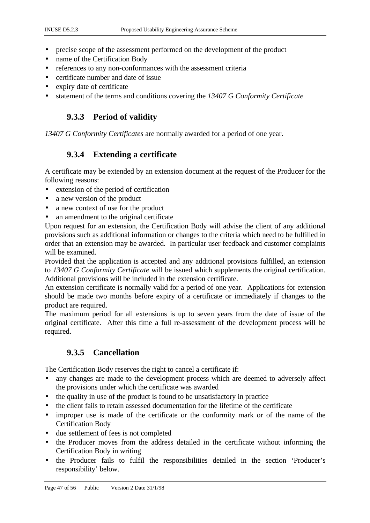- precise scope of the assessment performed on the development of the product
- name of the Certification Body
- references to any non-conformances with the assessment criteria
- certificate number and date of issue
- expiry date of certificate
- statement of the terms and conditions covering the *13407 G Conformity Certificate*

# **9.3.3 Period of validity**

*13407 G Conformity Certificates* are normally awarded for a period of one year.

# **9.3.4 Extending a certificate**

A certificate may be extended by an extension document at the request of the Producer for the following reasons:

- extension of the period of certification
- a new version of the product
- a new context of use for the product
- an amendment to the original certificate

Upon request for an extension, the Certification Body will advise the client of any additional provisions such as additional information or changes to the criteria which need to be fulfilled in order that an extension may be awarded. In particular user feedback and customer complaints will be examined.

Provided that the application is accepted and any additional provisions fulfilled, an extension to *13407 G Conformity Certificate* will be issued which supplements the original certification. Additional provisions will be included in the extension certificate.

An extension certificate is normally valid for a period of one year. Applications for extension should be made two months before expiry of a certificate or immediately if changes to the product are required.

The maximum period for all extensions is up to seven years from the date of issue of the original certificate. After this time a full re-assessment of the development process will be required.

# **9.3.5 Cancellation**

The Certification Body reserves the right to cancel a certificate if:

- any changes are made to the development process which are deemed to adversely affect the provisions under which the certificate was awarded
- the quality in use of the product is found to be unsatisfactory in practice
- the client fails to retain assessed documentation for the lifetime of the certificate
- improper use is made of the certificate or the conformity mark or of the name of the Certification Body
- due settlement of fees is not completed
- the Producer moves from the address detailed in the certificate without informing the Certification Body in writing
- the Producer fails to fulfil the responsibilities detailed in the section 'Producer's responsibility' below.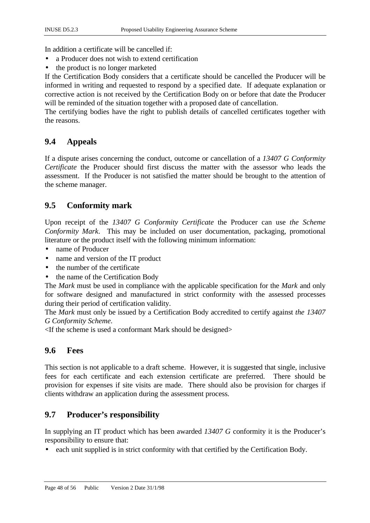In addition a certificate will be cancelled if:

- a Producer does not wish to extend certification
- the product is no longer marketed

If the Certification Body considers that a certificate should be cancelled the Producer will be informed in writing and requested to respond by a specified date. If adequate explanation or corrective action is not received by the Certification Body on or before that date the Producer will be reminded of the situation together with a proposed date of cancellation.

The certifying bodies have the right to publish details of cancelled certificates together with the reasons.

# **9.4 Appeals**

If a dispute arises concerning the conduct, outcome or cancellation of a *13407 G Conformity Certificate* the Producer should first discuss the matter with the assessor who leads the assessment. If the Producer is not satisfied the matter should be brought to the attention of the scheme manager.

# **9.5 Conformity mark**

Upon receipt of the *13407 G Conformity Certificate* the Producer can use *the Scheme Conformity Mark*. This may be included on user documentation, packaging, promotional literature or the product itself with the following minimum information:

- name of Producer
- name and version of the IT product
- the number of the certificate
- the name of the Certification Body

The *Mark* must be used in compliance with the applicable specification for the *Mark* and only for software designed and manufactured in strict conformity with the assessed processes during their period of certification validity.

The *Mark* must only be issued by a Certification Body accredited to certify against *the 13407 G Conformity Scheme*.

 $\leq$ If the scheme is used a conformant Mark should be designed $\geq$ 

# **9.6 Fees**

This section is not applicable to a draft scheme. However, it is suggested that single, inclusive fees for each certificate and each extension certificate are preferred. There should be provision for expenses if site visits are made. There should also be provision for charges if clients withdraw an application during the assessment process.

# **9.7 Producer's responsibility**

In supplying an IT product which has been awarded *13407 G* conformity it is the Producer's responsibility to ensure that:

• each unit supplied is in strict conformity with that certified by the Certification Body.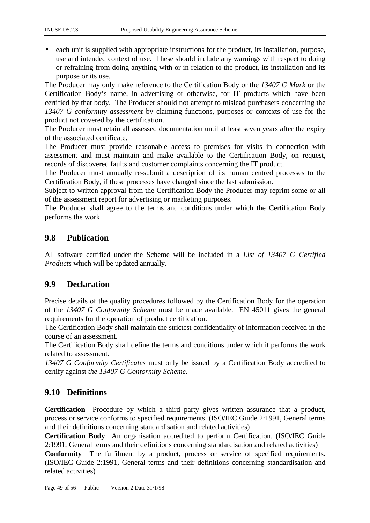• each unit is supplied with appropriate instructions for the product, its installation, purpose, use and intended context of use. These should include any warnings with respect to doing or refraining from doing anything with or in relation to the product, its installation and its purpose or its use.

The Producer may only make reference to the Certification Body or the *13407 G Mark* or the Certification Body's name, in advertising or otherwise, for IT products which have been certified by that body. The Producer should not attempt to mislead purchasers concerning the *13407 G conformity assessment* by claiming functions, purposes or contexts of use for the product not covered by the certification.

The Producer must retain all assessed documentation until at least seven years after the expiry of the associated certificate.

The Producer must provide reasonable access to premises for visits in connection with assessment and must maintain and make available to the Certification Body, on request, records of discovered faults and customer complaints concerning the IT product.

The Producer must annually re-submit a description of its human centred processes to the Certification Body, if these processes have changed since the last submission.

Subject to written approval from the Certification Body the Producer may reprint some or all of the assessment report for advertising or marketing purposes.

The Producer shall agree to the terms and conditions under which the Certification Body performs the work.

# **9.8 Publication**

All software certified under the Scheme will be included in a *List of 13407 G Certified Products* which will be updated annually.

# **9.9 Declaration**

Precise details of the quality procedures followed by the Certification Body for the operation of the *13407 G Conformity Scheme* must be made available. EN 45011 gives the general requirements for the operation of product certification.

The Certification Body shall maintain the strictest confidentiality of information received in the course of an assessment.

The Certification Body shall define the terms and conditions under which it performs the work related to assessment.

*13407 G Conformity Certificates* must only be issued by a Certification Body accredited to certify against *the 13407 G Conformity Scheme*.

# **9.10 Definitions**

**Certification** Procedure by which a third party gives written assurance that a product, process or service conforms to specified requirements. (ISO/IEC Guide 2:1991, General terms and their definitions concerning standardisation and related activities)

**Certification Body** An organisation accredited to perform Certification. (ISO/IEC Guide 2:1991, General terms and their definitions concerning standardisation and related activities)

**Conformity** The fulfilment by a product, process or service of specified requirements. (ISO/IEC Guide 2:1991, General terms and their definitions concerning standardisation and related activities)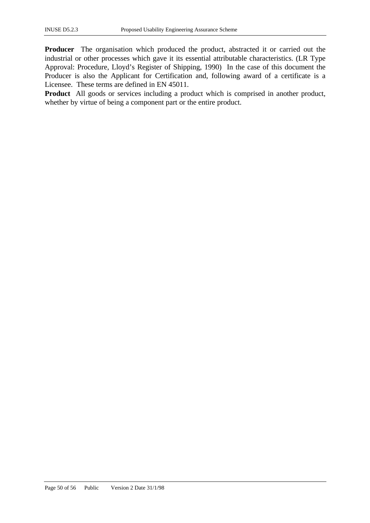**Producer** The organisation which produced the product, abstracted it or carried out the industrial or other processes which gave it its essential attributable characteristics. (LR Type Approval: Procedure, Lloyd's Register of Shipping, 1990) In the case of this document the Producer is also the Applicant for Certification and, following award of a certificate is a Licensee. These terms are defined in EN 45011.

**Product** All goods or services including a product which is comprised in another product, whether by virtue of being a component part or the entire product.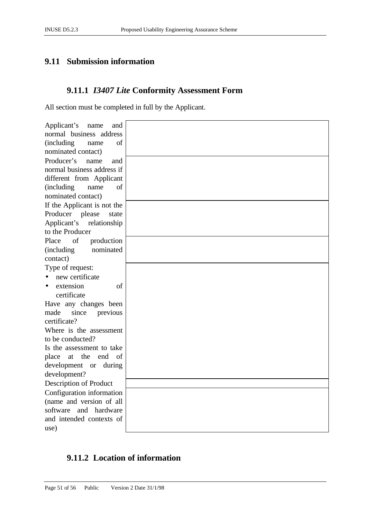# **9.11 Submission information**

# **9.11.1** *I3407 Lite* **Conformity Assessment Form**

All section must be completed in full by the Applicant.

| Applicant's<br>name<br>and       |  |
|----------------------------------|--|
| normal business address          |  |
| <i>(including)</i><br>of<br>name |  |
| nominated contact)               |  |
| Producer's<br>name<br>and        |  |
| normal business address if       |  |
| different from Applicant         |  |
| of<br><i>(including)</i><br>name |  |
| nominated contact)               |  |
| If the Applicant is not the      |  |
| Producer<br>please<br>state      |  |
| Applicant's relationship         |  |
| to the Producer                  |  |
| Place<br>of<br>production        |  |
| nominated<br><i>(including)</i>  |  |
| contact)                         |  |
| Type of request:                 |  |
| new certificate                  |  |
| extension<br>of                  |  |
| certificate                      |  |
| Have any changes been            |  |
| made<br>since<br>previous        |  |
| certificate?                     |  |
| Where is the assessment          |  |
| to be conducted?                 |  |
| Is the assessment to take        |  |
| end of<br>the<br>place<br>at     |  |
| development or during            |  |
| development?                     |  |
| Description of Product           |  |
| Configuration information        |  |
| (name and version of all         |  |
| software<br>and hardware         |  |
| and intended contexts of         |  |
| use)                             |  |

# **9.11.2 Location of information**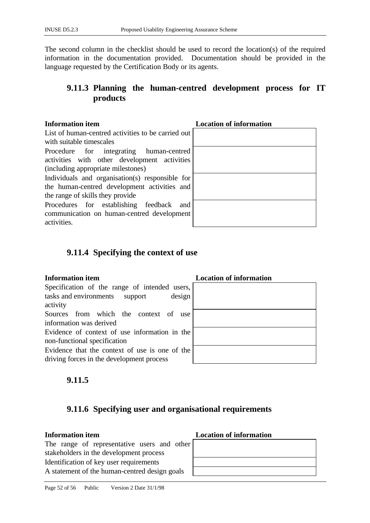The second column in the checklist should be used to record the location(s) of the required information in the documentation provided. Documentation should be provided in the language requested by the Certification Body or its agents.

# **9.11.3 Planning the human-centred development process for IT products**

### **Information item**

List of human-centred activities to be carried out with suitable timescales

Procedure for integrating human-centred activities with other development activities (including appropriate milestones)

Individuals and organisation(s) responsible for the human-centred development activities and the range of skills they provide

Procedures for establishing feedback and communication on human-centred development activities.

| <b>LOCATION OF INIOFINATION</b> |  |
|---------------------------------|--|
|                                 |  |
|                                 |  |
|                                 |  |
|                                 |  |
|                                 |  |
|                                 |  |
|                                 |  |
|                                 |  |
|                                 |  |
|                                 |  |
|                                 |  |
|                                 |  |
|                                 |  |
|                                 |  |
|                                 |  |

# **9.11.4 Specifying the context of use**

Specification of the range of intended users, tasks and environments support design activity Sources from which the context of use

information was derived

Evidence of context of use information in the non-functional specification

Evidence that the context of use is one of the driving forces in the development process

# **Information item Location of information**

# **9.11.5**

# **9.11.6 Specifying user and organisational requirements**

# **Information item Location of information**

The range of representative users and other stakeholders in the development process Identification of key user requirements A statement of the human-centred design goals

| LOCALION OF HITOFINATION |
|--------------------------|
|                          |
|                          |
|                          |
|                          |
|                          |
|                          |
|                          |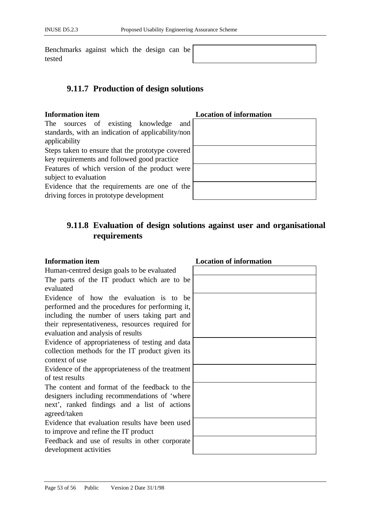Benchmarks against which the design can be tested

# **9.11.7 Production of design solutions**

# **Information item Location of information**

The sources of existing knowledge and standards, with an indication of applicability/non applicability Steps taken to ensure that the prototype covered key requirements and followed good practice Features of which version of the product were subject to evaluation Evidence that the requirements are one of the

driving forces in prototype development

# **9.11.8 Evaluation of design solutions against user and organisational requirements**

Human-centred design goals to be evaluated The parts of the IT product which are to be evaluated Evidence of how the evaluation is to be performed and the procedures for performing it, including the number of users taking part and their representativeness, resources required for evaluation and analysis of results Evidence of appropriateness of testing and data collection methods for the IT product given its context of use Evidence of the appropriateness of the treatment of test results The content and format of the feedback to the designers including recommendations of 'where next', ranked findings and a list of actions agreed/taken Evidence that evaluation results have been used to improve and refine the IT product Feedback and use of results in other corporate development activities

# **Information item Location of information**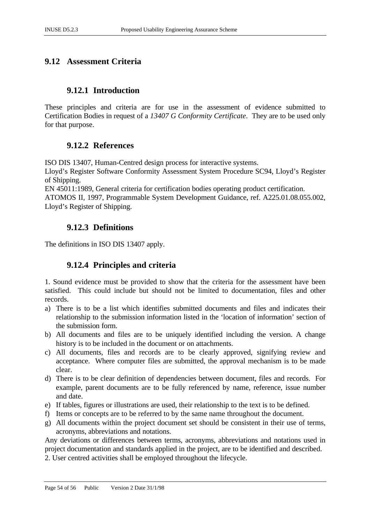# **9.12 Assessment Criteria**

# **9.12.1 Introduction**

These principles and criteria are for use in the assessment of evidence submitted to Certification Bodies in request of a *13407 G Conformity Certificate*. They are to be used only for that purpose.

# **9.12.2 References**

ISO DIS 13407, Human-Centred design process for interactive systems.

Lloyd's Register Software Conformity Assessment System Procedure SC94, Lloyd's Register of Shipping.

EN 45011:1989, General criteria for certification bodies operating product certification. ATOMOS II, 1997, Programmable System Development Guidance, ref. A225.01.08.055.002, Lloyd's Register of Shipping.

# **9.12.3 Definitions**

The definitions in ISO DIS 13407 apply.

# **9.12.4 Principles and criteria**

1. Sound evidence must be provided to show that the criteria for the assessment have been satisfied. This could include but should not be limited to documentation, files and other records.

- a) There is to be a list which identifies submitted documents and files and indicates their relationship to the submission information listed in the 'location of information' section of the submission form.
- b) All documents and files are to be uniquely identified including the version. A change history is to be included in the document or on attachments.
- c) All documents, files and records are to be clearly approved, signifying review and acceptance. Where computer files are submitted, the approval mechanism is to be made clear.
- d) There is to be clear definition of dependencies between document, files and records. For example, parent documents are to be fully referenced by name, reference, issue number and date.
- e) If tables, figures or illustrations are used, their relationship to the text is to be defined.
- f) Items or concepts are to be referred to by the same name throughout the document.
- g) All documents within the project document set should be consistent in their use of terms, acronyms, abbreviations and notations.

Any deviations or differences between terms, acronyms, abbreviations and notations used in project documentation and standards applied in the project, are to be identified and described.

2. User centred activities shall be employed throughout the lifecycle.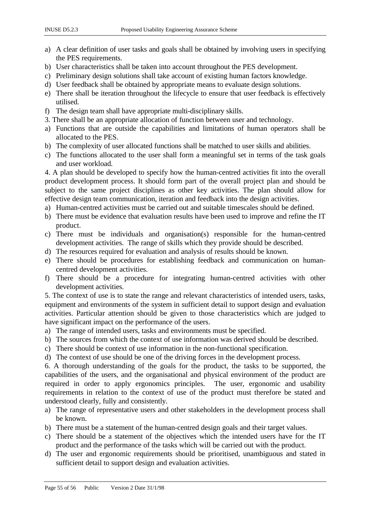- a) A clear definition of user tasks and goals shall be obtained by involving users in specifying the PES requirements.
- b) User characteristics shall be taken into account throughout the PES development.
- c) Preliminary design solutions shall take account of existing human factors knowledge.
- d) User feedback shall be obtained by appropriate means to evaluate design solutions.
- e) There shall be iteration throughout the lifecycle to ensure that user feedback is effectively utilised.
- f) The design team shall have appropriate multi-disciplinary skills.
- 3. There shall be an appropriate allocation of function between user and technology.
- a) Functions that are outside the capabilities and limitations of human operators shall be allocated to the PES.
- b) The complexity of user allocated functions shall be matched to user skills and abilities.
- c) The functions allocated to the user shall form a meaningful set in terms of the task goals and user workload*.*

4. A plan should be developed to specify how the human-centred activities fit into the overall product development process. It should form part of the overall project plan and should be subject to the same project disciplines as other key activities. The plan should allow for effective design team communication, iteration and feedback into the design activities.

- a) Human-centred activities must be carried out and suitable timescales should be defined.
- b) There must be evidence that evaluation results have been used to improve and refine the IT product.
- c) There must be individuals and organisation(s) responsible for the human-centred development activities. The range of skills which they provide should be described.
- d) The resources required for evaluation and analysis of results should be known.
- e) There should be procedures for establishing feedback and communication on humancentred development activities.
- f) There should be a procedure for integrating human-centred activities with other development activities.

5. The context of use is to state the range and relevant characteristics of intended users, tasks, equipment and environments of the system in sufficient detail to support design and evaluation activities. Particular attention should be given to those characteristics which are judged to have significant impact on the performance of the users.

- a) The range of intended users, tasks and environments must be specified.
- b) The sources from which the context of use information was derived should be described.
- c) There should be context of use information in the non-functional specification.
- d) The context of use should be one of the driving forces in the development process.

6. A thorough understanding of the goals for the product, the tasks to be supported, the capabilities of the users, and the organisational and physical environment of the product are required in order to apply ergonomics principles. The user, ergonomic and usability requirements in relation to the context of use of the product must therefore be stated and understood clearly, fully and consistently.

- a) The range of representative users and other stakeholders in the development process shall be known.
- b) There must be a statement of the human-centred design goals and their target values.
- c) There should be a statement of the objectives which the intended users have for the IT product and the performance of the tasks which will be carried out with the product.
- d) The user and ergonomic requirements should be prioritised, unambiguous and stated in sufficient detail to support design and evaluation activities.